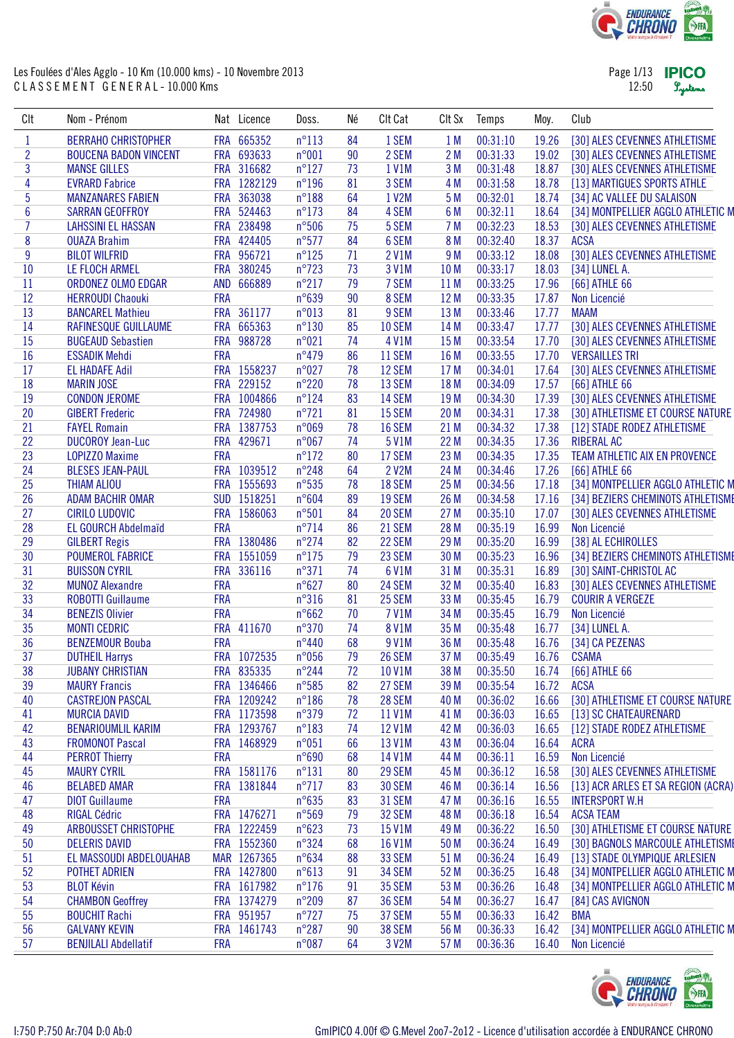

| Page 1/13 | <b>IPICO</b> |
|-----------|--------------|
| 12:50     | Lystems      |

| CIt            | Nom - Prénom                 |            | Nat Licence | Doss.           | Né | Clt Cat       | CIt Sx          | Temps    | Moy.  | Club                               |
|----------------|------------------------------|------------|-------------|-----------------|----|---------------|-----------------|----------|-------|------------------------------------|
| $\mathbf{1}$   | <b>BERRAHO CHRISTOPHER</b>   |            | FRA 665352  | $n^{\circ}113$  | 84 | 1 SEM         | 1 <sub>M</sub>  | 00:31:10 | 19.26 | [30] ALES CEVENNES ATHLETISME      |
| $\overline{c}$ | <b>BOUCENA BADON VINCENT</b> |            | FRA 693633  | n°001           | 90 | 2 SEM         | 2M              | 00:31:33 | 19.02 | [30] ALES CEVENNES ATHLETISME      |
| 3              | <b>MANSE GILLES</b>          |            | FRA 316682  | $n^{\circ}127$  | 73 | 1 V1M         | 3 M             | 00:31:48 | 18.87 | [30] ALES CEVENNES ATHLETISME      |
| 4              | <b>EVRARD Fabrice</b>        |            | FRA 1282129 | $n^{\circ}196$  | 81 | 3 SEM         | 4 M             | 00:31:58 | 18.78 | [13] MARTIGUES SPORTS ATHLE        |
| 5              | <b>MANZANARES FABIEN</b>     |            | FRA 363038  | $n^{\circ}188$  | 64 | 1 V2M         | 5 M             | 00:32:01 | 18.74 | [34] AC VALLEE DU SALAISON         |
| 6              | <b>SARRAN GEOFFROY</b>       |            | FRA 524463  | $n^{\circ}173$  | 84 | 4 SEM         | 6 M             | 00:32:11 | 18.64 | [34] MONTPELLIER AGGLO ATHLETIC M  |
| $\overline{7}$ | <b>LAHSSINI EL HASSAN</b>    |            | FRA 238498  | $n^{\circ}506$  | 75 | 5 SEM         | 7M              | 00:32:23 | 18.53 | [30] ALES CEVENNES ATHLETISME      |
| 8              | <b>OUAZA Brahim</b>          |            | FRA 424405  | $n^{\circ}577$  | 84 | 6 SEM         | 8 M             | 00:32:40 | 18.37 | <b>ACSA</b>                        |
| $\overline{9}$ | <b>BILOT WILFRID</b>         |            | FRA 956721  | $n^{\circ}125$  | 71 | 2 V1M         | 9 M             | 00:33:12 | 18.08 | [30] ALES CEVENNES ATHLETISME      |
| 10             | LE FLOCH ARMEL               |            | FRA 380245  | $n^{\circ}723$  | 73 | 3 V1M         | 10 <sub>M</sub> | 00:33:17 | 18.03 | [34] LUNEL A.                      |
| 11             | ORDONEZ OLMO EDGAR           |            | AND 666889  | $n^{\circ}217$  | 79 | 7 SEM         | 11M             | 00:33:25 | 17.96 | [66] ATHLE 66                      |
| 12             | <b>HERROUDI Chaouki</b>      | <b>FRA</b> |             | $n^{\circ}639$  | 90 | 8 SEM         | 12 M            | 00:33:35 | 17.87 | Non Licencié                       |
| 13             | <b>BANCAREL Mathieu</b>      |            | FRA 361177  | n°013           | 81 | 9 SEM         | 13 M            | 00:33:46 | 17.77 | <b>MAAM</b>                        |
| 14             | RAFINESQUE GUILLAUME         | <b>FRA</b> | 665363      | $n^{\circ}130$  | 85 | 10 SEM        | 14 M            | 00:33:47 | 17.77 | [30] ALES CEVENNES ATHLETISME      |
| 15             | <b>BUGEAUD Sebastien</b>     | <b>FRA</b> | 988728      | $n^{\circ}021$  | 74 | 4 V1M         | 15 M            | 00:33:54 | 17.70 | [30] ALES CEVENNES ATHLETISME      |
| 16             | <b>ESSADIK Mehdi</b>         | <b>FRA</b> |             | $n^{\circ}479$  | 86 | 11 SEM        | 16 M            | 00:33:55 | 17.70 | <b>VERSAILLES TRI</b>              |
| 17             | <b>EL HADAFE Adil</b>        |            | FRA 1558237 | n°027           | 78 | 12 SEM        | 17 M            | 00:34:01 | 17.64 | [30] ALES CEVENNES ATHLETISME      |
| 18             | <b>MARIN JOSE</b>            |            | FRA 229152  | $n^{\circ}220$  | 78 | 13 SEM        | 18 M            | 00:34:09 | 17.57 | [66] ATHLE 66                      |
| 19             | <b>CONDON JEROME</b>         |            | FRA 1004866 | $n^{\circ}124$  | 83 | 14 SEM        | 19 <sub>M</sub> | 00:34:30 | 17.39 | [30] ALES CEVENNES ATHLETISME      |
| 20             | <b>GIBERT Frederic</b>       |            | FRA 724980  | $n^{\circ}721$  | 81 | 15 SEM        | 20 M            | 00:34:31 | 17.38 | [30] ATHLETISME ET COURSE NATURE   |
| 21             | <b>FAYEL Romain</b>          |            | FRA 1387753 | n°069           | 78 | <b>16 SEM</b> | 21 M            | 00:34:32 | 17.38 | [12] STADE RODEZ ATHLETISME        |
| 22             | <b>DUCOROY Jean-Luc</b>      |            | FRA 429671  | n°067           | 74 | 5 V1M         | 22 M            | 00:34:35 | 17.36 | <b>RIBERAL AC</b>                  |
| 23             | <b>LOPIZZO Maxime</b>        | <b>FRA</b> |             | $n^{\circ}172$  | 80 | 17 SEM        | 23 M            | 00:34:35 | 17.35 | TEAM ATHLETIC AIX EN PROVENCE      |
| 24             | <b>BLESES JEAN-PAUL</b>      |            | FRA 1039512 | $n^{\circ}248$  | 64 | 2 V2M         | 24 M            | 00:34:46 | 17.26 | [66] ATHLE 66                      |
| 25             | <b>THIAM ALIOU</b>           |            | FRA 1555693 | $n^{\circ}535$  | 78 | 18 SEM        | 25 M            | 00:34:56 | 17.18 | [34] MONTPELLIER AGGLO ATHLETIC M  |
| 26             | <b>ADAM BACHIR OMAR</b>      |            | SUD 1518251 | $n^{\circ}604$  | 89 | 19 SEM        | 26 M            | 00:34:58 | 17.16 | [34] BEZIERS CHEMINOTS ATHLETISME  |
| 27             | <b>CIRILO LUDOVIC</b>        |            | FRA 1586063 | $n^{\circ}501$  | 84 | 20 SEM        | 27 M            | 00:35:10 | 17.07 | [30] ALES CEVENNES ATHLETISME      |
| 28             | <b>EL GOURCH Abdelmaïd</b>   | <b>FRA</b> |             | $n^{\circ}$ 714 | 86 | 21 SEM        | 28 M            | 00:35:19 | 16.99 | Non Licencié                       |
| 29             | <b>GILBERT Regis</b>         |            | FRA 1380486 | $n^{\circ}$ 274 | 82 | 22 SEM        | 29 M            | 00:35:20 | 16.99 | [38] AL ECHIROLLES                 |
| 30             | <b>POUMEROL FABRICE</b>      |            | FRA 1551059 | $n^{\circ}175$  | 79 | 23 SEM        | 30 M            | 00:35:23 | 16.96 | [34] BEZIERS CHEMINOTS ATHLETISME  |
| 31             | <b>BUISSON CYRIL</b>         | <b>FRA</b> | 336116      | $n^{\circ}371$  | 74 | 6 V1M         | 31 M            | 00:35:31 | 16.89 | [30] SAINT-CHRISTOL AC             |
| 32             | <b>MUNOZ Alexandre</b>       | <b>FRA</b> |             | $n^{\circ}627$  | 80 | 24 SEM        | 32 M            | 00:35:40 | 16.83 | [30] ALES CEVENNES ATHLETISME      |
| 33             | <b>ROBOTTI Guillaume</b>     | <b>FRA</b> |             | $n^{\circ}316$  | 81 | 25 SEM        | 33 M            | 00:35:45 | 16.79 | <b>COURIR A VERGEZE</b>            |
| 34             | <b>BENEZIS Olivier</b>       | <b>FRA</b> |             | $n^{\circ}662$  | 70 | 7 V1M         | 34 M            | 00:35:45 | 16.79 | Non Licencié                       |
| 35             | <b>MONTI CEDRIC</b>          |            | FRA 411670  | $n^{\circ}370$  | 74 | 8 V1M         | 35 M            | 00:35:48 | 16.77 | [34] LUNEL A.                      |
| 36             | <b>BENZEMOUR Bouba</b>       | <b>FRA</b> |             | $n^{\circ}440$  | 68 | 9 V1M         | 36 M            | 00:35:48 | 16.76 | [34] CA PEZENAS                    |
| 37             | <b>DUTHEIL Harrys</b>        |            | FRA 1072535 | n°056           | 79 | 26 SEM        | 37 M            | 00:35:49 | 16.76 | <b>CSAMA</b>                       |
| 38             | <b>JUBANY CHRISTIAN</b>      |            | FRA 835335  | $n^{\circ}$ 244 | 72 | 10 V1M        | 38 M            | 00:35:50 | 16.74 | [66] ATHLE 66                      |
| 39             | <b>MAURY Francis</b>         |            | FRA 1346466 | $n^{\circ}585$  | 82 | 27 SEM        | 39 M            | 00:35:54 | 16.72 | <b>ACSA</b>                        |
| 40             | <b>CASTREJON PASCAL</b>      |            | FRA 1209242 | $n^{\circ}186$  | 78 | 28 SEM        | 40 M            | 00:36:02 | 16.66 | [30] ATHLETISME ET COURSE NATURE   |
| 41             | <b>MURCIA DAVID</b>          |            | FRA 1173598 | $n^{\circ}379$  | 72 | 11 V1M        | 41 M            | 00:36:03 | 16.65 | [13] SC CHATEAURENARD              |
| 42             | <b>BENARIOUMLIL KARIM</b>    |            | FRA 1293767 | $n^{\circ}183$  | 74 | 12 V1M        | 42 M            | 00:36:03 | 16.65 | [12] STADE RODEZ ATHLETISME        |
| 43             | <b>FROMONOT Pascal</b>       |            | FRA 1468929 | n°051           | 66 | 13 V1M        | 43 M            | 00:36:04 | 16.64 | <b>ACRA</b>                        |
| 44             | <b>PERROT Thierry</b>        | <b>FRA</b> |             | n°690           | 68 | 14 V1M        | 44 M            | 00:36:11 | 16.59 | Non Licencié                       |
| 45             | <b>MAURY CYRIL</b>           |            | FRA 1581176 | $n^{\circ}131$  | 80 | 29 SEM        | 45 M            | 00:36:12 | 16.58 | [30] ALES CEVENNES ATHLETISME      |
| 46             | <b>BELABED AMAR</b>          |            | FRA 1381844 | $n^{\circ}717$  | 83 | <b>30 SEM</b> | 46 M            | 00:36:14 | 16.56 | [13] ACR ARLES ET SA REGION (ACRA) |
| 47             | <b>DIOT Guillaume</b>        | <b>FRA</b> |             | $n^{\circ}635$  | 83 | 31 SEM        | 47 M            | 00:36:16 | 16.55 | <b>INTERSPORT W.H</b>              |
| 48             | <b>RIGAL Cédric</b>          |            | FRA 1476271 | n°569           | 79 | 32 SEM        | 48 M            | 00:36:18 | 16.54 | <b>ACSA TEAM</b>                   |
| 49             | ARBOUSSET CHRISTOPHE         |            | FRA 1222459 | $n^{\circ}623$  | 73 | 15 V1M        | 49 M            | 00:36:22 | 16.50 | [30] ATHLETISME ET COURSE NATURE   |
| 50             | <b>DELERIS DAVID</b>         |            | FRA 1552360 | $n^{\circ}324$  | 68 | 16 V1M        | 50 M            | 00:36:24 | 16.49 | [30] BAGNOLS MARCOULE ATHLETISME   |
| 51             | EL MASSOUDI ABDELOUAHAB      |            | MAR 1267365 | $n^{\circ}634$  | 88 | 33 SEM        | 51 M            | 00:36:24 | 16.49 | [13] STADE OLYMPIQUE ARLESIEN      |
| 52             | POTHET ADRIEN                |            | FRA 1427800 | $n^{\circ}613$  | 91 | 34 SEM        | 52 M            | 00:36:25 | 16.48 | [34] MONTPELLIER AGGLO ATHLETIC M  |
| 53             | <b>BLOT Kévin</b>            |            | FRA 1617982 | $n^{\circ}176$  | 91 | 35 SEM        | 53 M            | 00:36:26 | 16.48 | [34] MONTPELLIER AGGLO ATHLETIC M  |
| 54             | <b>CHAMBON Geoffrey</b>      |            | FRA 1374279 | $n^{\circ}209$  | 87 | <b>36 SEM</b> | 54 M            | 00:36:27 | 16.47 | [84] CAS AVIGNON                   |
| 55             | <b>BOUCHIT Rachi</b>         |            | FRA 951957  | $n^{\circ}727$  | 75 | 37 SEM        | 55 M            | 00:36:33 | 16.42 | <b>BMA</b>                         |
| 56             | <b>GALVANY KEVIN</b>         |            | FRA 1461743 | $n^{\circ}287$  | 90 | 38 SEM        | 56 M            | 00:36:33 | 16.42 | [34] MONTPELLIER AGGLO ATHLETIC M  |
| 57             | <b>BENJILALI Abdellatif</b>  | <b>FRA</b> |             | n°087           | 64 | 3 V2M         | 57 M            | 00:36:36 | 16.40 | Non Licencié                       |
|                |                              |            |             |                 |    |               |                 |          |       |                                    |

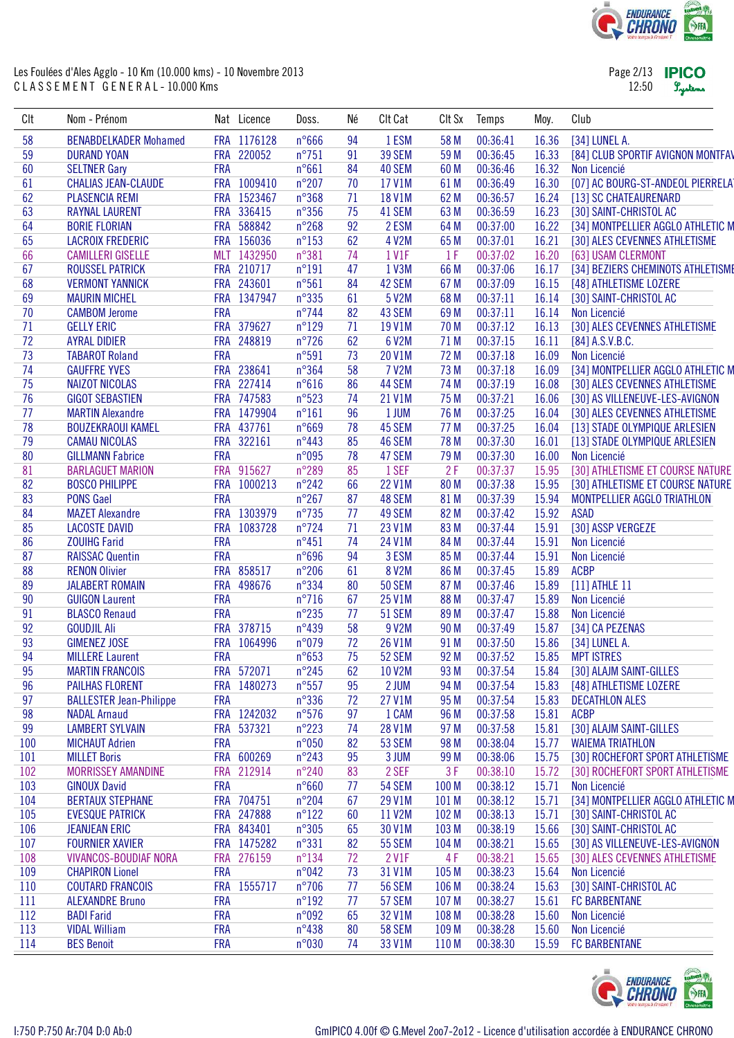

| Page 2/13 <b>IPICO</b> |         |
|------------------------|---------|
| 12:50                  | Lystems |

| CIt      | Nom - Prénom                                     |            | Nat Licence | Doss.           | Né       | Clt Cat       | CIt Sx           | Temps    | Moy.  | Club                              |
|----------|--------------------------------------------------|------------|-------------|-----------------|----------|---------------|------------------|----------|-------|-----------------------------------|
| 58       | <b>BENABDELKADER Mohamed</b>                     |            | FRA 1176128 | $n^{\circ}666$  | 94       | 1 ESM         | 58 M             | 00:36:41 | 16.36 | [34] LUNEL A.                     |
| 59       | <b>DURAND YOAN</b>                               |            | FRA 220052  | $n^{\circ}751$  | 91       | 39 SEM        | 59 M             | 00:36:45 | 16.33 | [84] CLUB SPORTIF AVIGNON MONTFAV |
| 60       | <b>SELTNER Gary</b>                              | <b>FRA</b> |             | n°661           | 84       | 40 SEM        | 60 M             | 00:36:46 | 16.32 | Non Licencié                      |
| 61       | <b>CHALIAS JEAN-CLAUDE</b>                       |            | FRA 1009410 | $n^{\circ}207$  | 70       | 17 V1M        | 61 M             | 00:36:49 | 16.30 | [07] AC BOURG-ST-ANDEOL PIERRELAT |
| 62       | <b>PLASENCIA REMI</b>                            |            | FRA 1523467 | n°368           | 71       | 18 V1M        | 62 M             | 00:36:57 | 16.24 | [13] SC CHATEAURENARD             |
| 63       | <b>RAYNAL LAURENT</b>                            |            | FRA 336415  | $n^{\circ}356$  | 75       | 41 SEM        | 63 M             | 00:36:59 | 16.23 | [30] SAINT-CHRISTOL AC            |
| 64       | <b>BORIE FLORIAN</b>                             |            | FRA 588842  | $n^{\circ}268$  | 92       | 2 ESM         | 64 M             | 00:37:00 | 16.22 | [34] MONTPELLIER AGGLO ATHLETIC M |
| 65       | <b>LACROIX FREDERIC</b>                          |            | FRA 156036  | $n^{\circ}153$  | 62       | 4 V2M         | 65 M             | 00:37:01 | 16.21 | [30] ALES CEVENNES ATHLETISME     |
| 66       | <b>CAMILLERI GISELLE</b>                         |            | MLT 1432950 | n°381           | 74       | 1 V1F         | 1F               | 00:37:02 | 16.20 | [63] USAM CLERMONT                |
| 67       | <b>ROUSSEL PATRICK</b>                           |            | FRA 210717  | $n^{\circ}191$  | 47       | 1 V3M         | 66 M             | 00:37:06 | 16.17 | [34] BEZIERS CHEMINOTS ATHLETISME |
| 68       | <b>VERMONT YANNICK</b>                           |            | FRA 243601  | n°561           | 84       | 42 SEM        | 67 M             | 00:37:09 | 16.15 | [48] ATHLETISME LOZERE            |
| 69       | <b>MAURIN MICHEL</b>                             |            | FRA 1347947 | n°335           | 61       | 5 V2M         | 68 M             | 00:37:11 | 16.14 | [30] SAINT-CHRISTOL AC            |
| 70       | <b>CAMBOM Jerome</b>                             | <b>FRA</b> |             | $n^{\circ}$ 744 | 82       | 43 SEM        | 69 M             | 00:37:11 | 16.14 | Non Licencié                      |
| 71       | <b>GELLY ERIC</b>                                |            | FRA 379627  | $n^{\circ}129$  | 71       | 19 V1M        | 70 M             | 00:37:12 | 16.13 | [30] ALES CEVENNES ATHLETISME     |
| 72       | <b>AYRAL DIDIER</b>                              |            | FRA 248819  | $n^{\circ}$ 726 | 62       | 6 V2M         | 71 M             | 00:37:15 | 16.11 | $[84]$ A.S.V.B.C.                 |
| 73       | <b>TABAROT Roland</b>                            | <b>FRA</b> |             | n°591           | 73       | 20 V1M        | 72 M             | 00:37:18 | 16.09 | Non Licencié                      |
| 74       | <b>GAUFFRE YVES</b>                              |            | FRA 238641  | n°364           | 58       | 7 V2M         | 73 M             | 00:37:18 | 16.09 | [34] MONTPELLIER AGGLO ATHLETIC M |
| 75       | <b>NAIZOT NICOLAS</b>                            |            | FRA 227414  | $n^{\circ}616$  | 86       | 44 SEM        | 74 M             | 00:37:19 | 16.08 | [30] ALES CEVENNES ATHLETISME     |
| 76       | <b>GIGOT SEBASTIEN</b>                           |            | FRA 747583  | n°523           | 74       | 21 V1M        | 75 M             | 00:37:21 | 16.06 | [30] AS VILLENEUVE-LES-AVIGNON    |
| 77       | <b>MARTIN Alexandre</b>                          |            | FRA 1479904 | $n^{\circ}161$  | 96       | 1 JUM         | 76 M             | 00:37:25 | 16.04 | [30] ALES CEVENNES ATHLETISME     |
| 78       | <b>BOUZEKRAOUI KAMEL</b>                         |            | FRA 437761  | $n^{\circ}669$  | 78       | 45 SEM        | 77 M             | 00:37:25 | 16.04 | [13] STADE OLYMPIQUE ARLESIEN     |
| 79       | <b>CAMAU NICOLAS</b>                             |            | FRA 322161  | $n^{\circ}443$  | 85       | 46 SEM        | 78 M             | 00:37:30 | 16.01 | [13] STADE OLYMPIQUE ARLESIEN     |
| 80       | <b>GILLMANN Fabrice</b>                          | <b>FRA</b> |             | n°095           | 78       | 47 SEM        | 79 M             | 00:37:30 | 16.00 | Non Licencié                      |
| 81       | <b>BARLAGUET MARION</b>                          |            | FRA 915627  | $n^{\circ}289$  | 85       | 1 SEF         | 2F               | 00:37:37 | 15.95 | [30] ATHLETISME ET COURSE NATURE  |
| 82       | <b>BOSCO PHILIPPE</b>                            |            | FRA 1000213 | $n^{\circ}242$  | 66       | 22 V1M        | 80 M             | 00:37:38 | 15.95 | [30] ATHLETISME ET COURSE NATURE  |
| 83       | <b>PONS Gael</b>                                 | <b>FRA</b> |             | $n^{\circ}267$  | 87       | 48 SEM        | 81 M             | 00:37:39 | 15.94 | MONTPELLIER AGGLO TRIATHLON       |
| 84       | <b>MAZET Alexandre</b>                           |            | FRA 1303979 | $n^{\circ}$ 735 | 77       | 49 SEM        | 82 M             | 00:37:42 | 15.92 | <b>ASAD</b>                       |
| 85       | <b>LACOSTE DAVID</b>                             |            | FRA 1083728 | $n^{\circ}$ 724 | 71       | 23 V1M        | 83 M             | 00:37:44 | 15.91 | [30] ASSP VERGEZE                 |
| 86       | <b>ZOUIHG Farid</b>                              | <b>FRA</b> |             | $n^{\circ}451$  | 74       | 24 V1M        | 84 M             | 00:37:44 | 15.91 | Non Licencié                      |
| 87       | <b>RAISSAC Quentin</b>                           | <b>FRA</b> |             | n°696           | 94       | 3 ESM         | 85 M             | 00:37:44 | 15.91 | Non Licencié                      |
| 88       | <b>RENON Olivier</b>                             |            | FRA 858517  | $n^{\circ}206$  | 61       | <b>8 V2M</b>  | 86 M             | 00:37:45 | 15.89 | <b>ACBP</b>                       |
| 89       | <b>JALABERT ROMAIN</b>                           |            | FRA 498676  | n°334           | 80       | <b>50 SEM</b> | 87 M             | 00:37:46 | 15.89 | [11] ATHLE 11                     |
| 90       | <b>GUIGON Laurent</b>                            | <b>FRA</b> |             | $n^{\circ}716$  | 67       | 25 V1M        | 88 M             | 00:37:47 | 15.89 | Non Licencié                      |
| 91       | <b>BLASCO Renaud</b>                             | <b>FRA</b> |             | $n^{\circ}235$  | 77       | 51 SEM        | 89 M             | 00:37:47 | 15.88 | Non Licencié                      |
| 92       | <b>GOUDJIL Ali</b>                               |            | FRA 378715  | $n^{\circ}439$  | 58       | 9 V2M         | 90 M             | 00:37:49 | 15.87 | [34] CA PEZENAS                   |
| 93       | <b>GIMENEZ JOSE</b>                              | <b>FRA</b> | 1064996     | n°079           | 72       | 26 V1M        | 91 M             | 00:37:50 | 15.86 | [34] LUNEL A.                     |
| 94       | <b>MILLERE Laurent</b>                           | <b>FRA</b> |             | $n^{\circ}653$  | 75       | 52 SEM        | 92 M             | 00:37:52 | 15.85 | <b>MPT ISTRES</b>                 |
|          |                                                  |            | FRA 572071  | $n^{\circ}245$  |          | 10 V2M        | 93 M             | 00:37:54 | 15.84 | [30] ALAJM SAINT-GILLES           |
| 95<br>96 | <b>MARTIN FRANCOIS</b><br><b>PAILHAS FLORENT</b> |            | FRA 1480273 | $n^{\circ}557$  | 62<br>95 | 2 JUM         | 94 M             | 00:37:54 | 15.83 | [48] ATHLETISME LOZERE            |
| 97       |                                                  | <b>FRA</b> |             |                 |          |               |                  |          | 15.83 | <b>DECATHLON ALES</b>             |
|          | <b>BALLESTER Jean-Philippe</b>                   |            |             | $n^{\circ}336$  | 72       | 27 V1M        | 95 M             | 00:37:54 |       |                                   |
| 98       | <b>NADAL Arnaud</b>                              |            | FRA 1242032 | $n^{\circ}576$  | 97       | 1 CAM         | 96 M             | 00:37:58 | 15.81 | <b>ACBP</b>                       |
| 99       | <b>LAMBERT SYLVAIN</b>                           |            | FRA 537321  | $n^{\circ}223$  | 74       | 28 V1M        | 97 M             | 00:37:58 | 15.81 | [30] ALAJM SAINT-GILLES           |
| 100      | <b>MICHAUT Adrien</b>                            | <b>FRA</b> |             | n°050           | 82       | 53 SEM        | 98 M             | 00:38:04 | 15.77 | <b>WAIEMA TRIATHLON</b>           |
| 101      | <b>MILLET Boris</b>                              |            | FRA 600269  | $n^{\circ}243$  | 95       | 3 JUM         | 99 M             | 00:38:06 | 15.75 | [30] ROCHEFORT SPORT ATHLETISME   |
| 102      | <b>MORRISSEY AMANDINE</b>                        |            | FRA 212914  | $n^{\circ}240$  | 83       | 2 SEF         | 3F               | 00:38:10 | 15.72 | [30] ROCHEFORT SPORT ATHLETISME   |
| 103      | <b>GINOUX David</b>                              | <b>FRA</b> |             | $n^{\circ}660$  | 77       | <b>54 SEM</b> | 100 M            | 00:38:12 | 15.71 | Non Licencié                      |
| 104      | <b>BERTAUX STEPHANE</b>                          |            | FRA 704751  | $n^{\circ}204$  | 67       | 29 V1M        | 101 M            | 00:38:12 | 15.71 | [34] MONTPELLIER AGGLO ATHLETIC M |
| 105      | <b>EVESQUE PATRICK</b>                           |            | FRA 247888  | $n^{\circ}122$  | 60       | 11 V2M        | 102 M            | 00:38:13 | 15.71 | [30] SAINT-CHRISTOL AC            |
| 106      | <b>JEANJEAN ERIC</b>                             |            | FRA 843401  | $n^{\circ}305$  | 65       | 30 V1M        | 103 M            | 00:38:19 | 15.66 | [30] SAINT-CHRISTOL AC            |
| 107      | <b>FOURNIER XAVIER</b>                           |            | FRA 1475282 | $n^{\circ}331$  | 82       | <b>55 SEM</b> | 104 M            | 00:38:21 | 15.65 | [30] AS VILLENEUVE-LES-AVIGNON    |
| 108      | <b>VIVANCOS-BOUDIAF NORA</b>                     | <b>FRA</b> | 276159      | $n^{\circ}134$  | 72       | 2 V1F         | 4 F              | 00:38:21 | 15.65 | [30] ALES CEVENNES ATHLETISME     |
| 109      | <b>CHAPIRON Lionel</b>                           | <b>FRA</b> |             | n°042           | 73       | 31 V1M        | 105 M            | 00:38:23 | 15.64 | Non Licencié                      |
| 110      | <b>COUTARD FRANCOIS</b>                          |            | FRA 1555717 | $n^{\circ}706$  | 77       | <b>56 SEM</b> | 106 M            | 00:38:24 | 15.63 | [30] SAINT-CHRISTOL AC            |
| 111      | <b>ALEXANDRE Bruno</b>                           | <b>FRA</b> |             | $n^{\circ}192$  | 77       | 57 SEM        | 107 M            | 00:38:27 | 15.61 | <b>FC BARBENTANE</b>              |
| 112      | <b>BADI Farid</b>                                | <b>FRA</b> |             | n°092           | 65       | 32 V1M        | 108 M            | 00:38:28 | 15.60 | Non Licencié                      |
| 113      | <b>VIDAL William</b>                             | <b>FRA</b> |             | $n^{\circ}438$  | 80       | <b>58 SEM</b> | 109 <sub>M</sub> | 00:38:28 | 15.60 | Non Licencié                      |
| 114      | <b>BES Benoit</b>                                | <b>FRA</b> |             | n°030           | 74       | 33 V1M        | 110 <sub>M</sub> | 00:38:30 | 15.59 | <b>FC BARBENTANE</b>              |

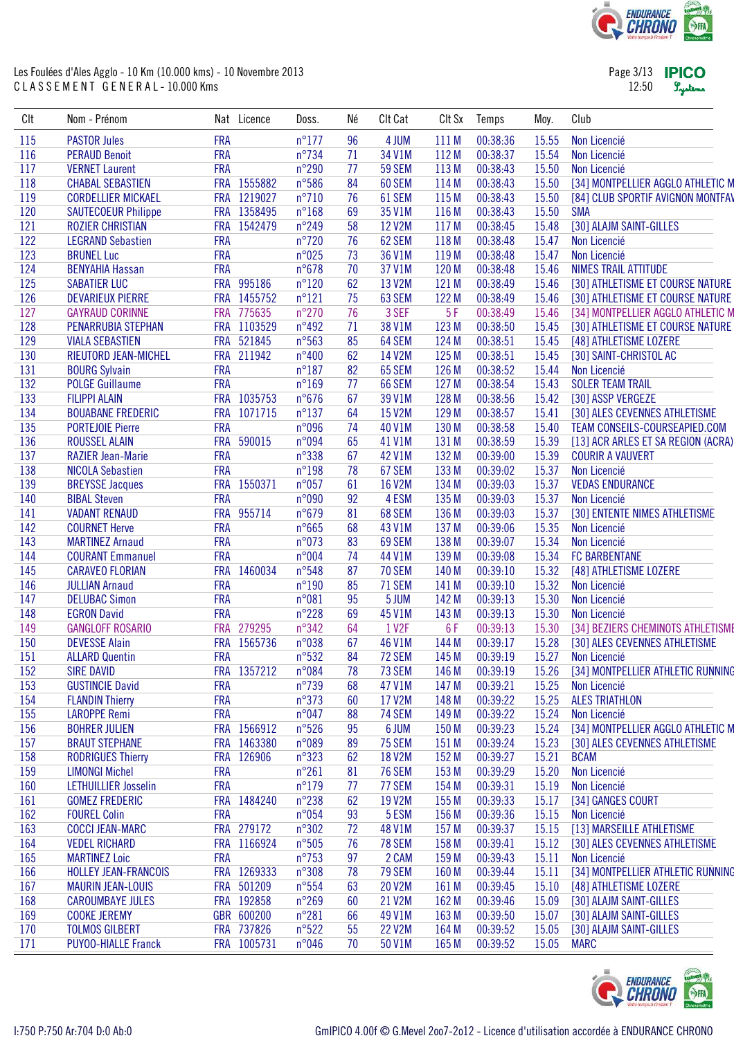

Page 3/13 **IPICO** 12:50 Lystems

| CIt | Nom - Prénom                |            | Nat Licence | Doss.           | Né       | Clt Cat            | CIt Sx           | Temps                | Moy.           | Club                                                               |
|-----|-----------------------------|------------|-------------|-----------------|----------|--------------------|------------------|----------------------|----------------|--------------------------------------------------------------------|
| 115 | <b>PASTOR Jules</b>         | <b>FRA</b> |             | $n^{\circ}$ 177 | 96       | 4 JUM              | 111 M            | 00:38:36             | 15.55          | Non Licencié                                                       |
| 116 | <b>PERAUD Benoit</b>        | <b>FRA</b> |             | $n^{\circ}$ 734 | 71       | 34 V1M             | 112 M            | 00:38:37             | 15.54          | Non Licencié                                                       |
| 117 | <b>VERNET Laurent</b>       | <b>FRA</b> |             | $n^{\circ}290$  | 77       | 59 SEM             | 113 M            | 00:38:43             | 15.50          | Non Licencié                                                       |
| 118 | <b>CHABAL SEBASTIEN</b>     |            | FRA 1555882 | n°586           | 84       | 60 SEM             | 114 M            | 00:38:43             | 15.50          | [34] MONTPELLIER AGGLO ATHLETIC M                                  |
| 119 | <b>CORDELLIER MICKAEL</b>   |            | FRA 1219027 | $n^{\circ}710$  | 76       | 61 SEM             | 115 M            | 00:38:43             | 15.50          | [84] CLUB SPORTIF AVIGNON MONTFAV                                  |
| 120 | <b>SAUTECOEUR Philippe</b>  |            | FRA 1358495 | $n^{\circ}168$  | 69       | 35 V1M             | 116 M            | 00:38:43             | 15.50          | <b>SMA</b>                                                         |
| 121 | <b>ROZIER CHRISTIAN</b>     |            | FRA 1542479 | n°249           | 58       | 12 V2M             | 117 M            | 00:38:45             | 15.48          | [30] ALAJM SAINT-GILLES                                            |
| 122 | <b>LEGRAND Sebastien</b>    | <b>FRA</b> |             | $n^{\circ}$ 720 | 76       | 62 SEM             | 118 M            | 00:38:48             | 15.47          | Non Licencié                                                       |
| 123 | <b>BRUNEL Luc</b>           | <b>FRA</b> |             | n°025           | 73       | 36 V1M             | 119 <sub>M</sub> | 00:38:48             | 15.47          | Non Licencié                                                       |
| 124 | <b>BENYAHIA Hassan</b>      | <b>FRA</b> |             | $n^{\circ}678$  | 70       | 37 V1M             | 120 M            | 00:38:48             | 15.46          | <b>NIMES TRAIL ATTITUDE</b>                                        |
| 125 | <b>SABATIER LUC</b>         |            | FRA 995186  | $n^{\circ}120$  | 62       | 13 V2M             | 121 M            | 00:38:49             | 15.46          | [30] ATHLETISME ET COURSE NATURE                                   |
| 126 | <b>DEVARIEUX PIERRE</b>     |            | FRA 1455752 | $n^{\circ}121$  | 75       | 63 SEM             | 122 M            | 00:38:49             | 15.46          | [30] ATHLETISME ET COURSE NATURE                                   |
| 127 | <b>GAYRAUD CORINNE</b>      |            | FRA 775635  | $n^{\circ}270$  | 76       | 3 SEF              | 5F               | 00:38:49             | 15.46          | [34] MONTPELLIER AGGLO ATHLETIC M                                  |
| 128 | PENARRUBIA STEPHAN          |            | FRA 1103529 | $n^{\circ}492$  | 71       | 38 V1M             | 123 M            | 00:38:50             | 15.45          | [30] ATHLETISME ET COURSE NATURE                                   |
| 129 | <b>VIALA SEBASTIEN</b>      |            | FRA 521845  | n°563           | 85       | 64 SEM             | 124 M            | 00:38:51             | 15.45          | [48] ATHLETISME LOZERE                                             |
| 130 | <b>RIEUTORD JEAN-MICHEL</b> |            | FRA 211942  | $n^{\circ}400$  | 62       | 14 V2M             | 125 M            | 00:38:51             | 15.45          | [30] SAINT-CHRISTOL AC                                             |
| 131 | <b>BOURG Sylvain</b>        | <b>FRA</b> |             | $n^{\circ}187$  | 82       | 65 SEM             | 126 M            | 00:38:52             | 15.44          | Non Licencié                                                       |
| 132 | <b>POLGE Guillaume</b>      | <b>FRA</b> |             | $n^{\circ}169$  | 77       | 66 SEM             | 127 M            | 00:38:54             | 15.43          | <b>SOLER TEAM TRAIL</b>                                            |
| 133 | <b>FILIPPI ALAIN</b>        |            | FRA 1035753 | $n^{\circ}676$  | 67       | 39 V1M             | 128 M            | 00:38:56             | 15.42          | [30] ASSP VERGEZE                                                  |
| 134 | <b>BOUABANE FREDERIC</b>    |            | FRA 1071715 | $n^{\circ}137$  | 64       | 15 V2M             | 129 M            | 00:38:57             | 15.41          | [30] ALES CEVENNES ATHLETISME                                      |
| 135 | <b>PORTEJOIE Pierre</b>     | <b>FRA</b> |             | n°096           | 74       | 40 V1M             | 130 M            | 00:38:58             | 15.40          | TEAM CONSEILS-COURSEAPIED.COM                                      |
| 136 | <b>ROUSSEL ALAIN</b>        |            | FRA 590015  | n°094           | 65       | 41 V1M             | 131 M            | 00:38:59             | 15.39          | [13] ACR ARLES ET SA REGION (ACRA)                                 |
| 137 | <b>RAZIER Jean-Marie</b>    | <b>FRA</b> |             | $n^{\circ}338$  | 67       | 42 V1M             | 132 M            | 00:39:00             | 15.39          | <b>COURIR A VAUVERT</b>                                            |
| 138 | <b>NICOLA Sebastien</b>     | <b>FRA</b> |             | $n^{\circ}198$  | 78       | 67 SEM             | 133 M            | 00:39:02             | 15.37          | Non Licencié                                                       |
| 139 | <b>BREYSSE Jacques</b>      |            | FRA 1550371 | n°057           | 61       | <b>16 V2M</b>      | 134 M            | 00:39:03             | 15.37          | <b>VEDAS ENDURANCE</b>                                             |
| 140 | <b>BIBAL Steven</b>         | <b>FRA</b> |             | n°090           | 92       | 4 ESM              | 135 M            | 00:39:03             | 15.37          | Non Licencié                                                       |
| 141 | <b>VADANT RENAUD</b>        |            | FRA 955714  | $n^{\circ}679$  | 81       | 68 SEM             | 136 M            | 00:39:03             | 15.37          | [30] ENTENTE NIMES ATHLETISME                                      |
| 142 | <b>COURNET Herve</b>        | <b>FRA</b> |             | $n^{\circ}665$  | 68       | 43 V1M             | 137 M            | 00:39:06             | 15.35          | Non Licencié                                                       |
| 143 | <b>MARTINEZ Arnaud</b>      | <b>FRA</b> |             | n°073           | 83       | 69 SEM             | 138 M            | 00:39:07             | 15.34          | Non Licencié                                                       |
| 144 | <b>COURANT Emmanuel</b>     | <b>FRA</b> |             | n°004           | 74       | 44 V1M             | 139 M            | 00:39:08             | 15.34          | <b>FC BARBENTANE</b>                                               |
| 145 | <b>CARAVEO FLORIAN</b>      | <b>FRA</b> | 1460034     | n°548           | 87       | <b>70 SEM</b>      | 140 M            | 00:39:10             | 15.32          | [48] ATHLETISME LOZERE                                             |
| 146 | <b>JULLIAN Arnaud</b>       | <b>FRA</b> |             | $n^{\circ}190$  | 85       | <b>71 SEM</b>      | 141 M            | 00:39:10             | 15.32          | Non Licencié                                                       |
| 147 | <b>DELUBAC Simon</b>        | <b>FRA</b> |             | n°081           | 95       | 5 JUM              | 142 M            | 00:39:13             | 15.30          | Non Licencié                                                       |
| 148 | <b>EGRON David</b>          | <b>FRA</b> |             | $n^{\circ}228$  | 69       | 45 V1M             | 143 M            | 00:39:13             | 15.30          | Non Licencié                                                       |
| 149 | <b>GANGLOFF ROSARIO</b>     |            | FRA 279295  | n°342           | 64       | 1 V <sub>2</sub> F | 6F               |                      | 15.30          |                                                                    |
| 150 | <b>DEVESSE Alain</b>        | <b>FRA</b> | 1565736     |                 |          |                    |                  | 00:39:13             |                | [34] BEZIERS CHEMINOTS ATHLETISME<br>[30] ALES CEVENNES ATHLETISME |
| 151 | <b>ALLARD Quentin</b>       | <b>FRA</b> |             | n°038<br>n°532  | 67<br>84 | 46 V1M<br>72 SEM   | 144 M<br>145 M   | 00:39:17<br>00:39:19 | 15.28<br>15.27 | Non Licencié                                                       |
|     |                             |            |             |                 |          |                    |                  |                      |                |                                                                    |
| 152 | <b>SIRE DAVID</b>           |            | FRA 1357212 | n°084           | 78       | 73 SEM             | 146 M            | 00:39:19             | 15.26          | [34] MONTPELLIER ATHLETIC RUNNING                                  |
| 153 | <b>GUSTINCIE David</b>      | <b>FRA</b> |             | $n^{\circ}739$  | 68       | 47 V1M             | 147 M            | 00:39:21             | 15.25          | Non Licencié                                                       |
| 154 | <b>FLANDIN Thierry</b>      | <b>FRA</b> |             | n°373           | 60       | 17 V2M             | 148 M            | 00:39:22             | 15.25          | <b>ALES TRIATHLON</b>                                              |
| 155 | <b>LAROPPE Remi</b>         | <b>FRA</b> |             | n°047           | 88       | <b>74 SEM</b>      | 149 M            | 00:39:22             | 15.24          | Non Licencié                                                       |
| 156 | <b>BOHRER JULIEN</b>        |            | FRA 1566912 | n°526           | 95       | 6 JUM              | 150 M            | 00:39:23             | 15.24          | [34] MONTPELLIER AGGLO ATHLETIC M                                  |
| 157 | <b>BRAUT STEPHANE</b>       |            | FRA 1463380 | n°089           | 89       | <b>75 SEM</b>      | 151 M            | 00:39:24             | 15.23          | [30] ALES CEVENNES ATHLETISME                                      |
| 158 | <b>RODRIGUES Thierry</b>    |            | FRA 126906  | $n^{\circ}323$  | 62       | 18 V2M             | 152 M            | 00:39:27             | 15.21          | <b>BCAM</b>                                                        |
| 159 | <b>LIMONGI Michel</b>       | <b>FRA</b> |             | $n^{\circ}261$  | 81       | <b>76 SEM</b>      | 153 M            | 00:39:29             | 15.20          | Non Licencié                                                       |
| 160 | <b>LETHUILLIER Josselin</b> | <b>FRA</b> |             | $n^{\circ}$ 179 | 77       | 77 SEM             | 154 M            | 00:39:31             | 15.19          | Non Licencié                                                       |
| 161 | <b>GOMEZ FREDERIC</b>       |            | FRA 1484240 | $n^{\circ}$ 238 | 62       | 19 V2M             | 155 M            | 00:39:33             | 15.17          | [34] GANGES COURT                                                  |
| 162 | <b>FOUREL Colin</b>         | <b>FRA</b> |             | n°054           | 93       | 5 ESM              | 156 M            | 00:39:36             | 15.15          | Non Licencié                                                       |
| 163 | <b>COCCI JEAN-MARC</b>      |            | FRA 279172  | n°302           | 72       | 48 V1M             | 157 M            | 00:39:37             | 15.15          | [13] MARSEILLE ATHLETISME                                          |
| 164 | <b>VEDEL RICHARD</b>        |            | FRA 1166924 | $n^{\circ}505$  | 76       | <b>78 SEM</b>      | 158 M            | 00:39:41             | 15.12          | [30] ALES CEVENNES ATHLETISME                                      |
| 165 | <b>MARTINEZ Loic</b>        | <b>FRA</b> |             | $n^{\circ}753$  | 97       | 2 CAM              | 159 M            | 00:39:43             | 15.11          | Non Licencié                                                       |
| 166 | HOLLEY JEAN-FRANCOIS        |            | FRA 1269333 | n°308           | 78       | <b>79 SEM</b>      | 160 M            | 00:39:44             | 15.11          | [34] MONTPELLIER ATHLETIC RUNNING                                  |
| 167 | <b>MAURIN JEAN-LOUIS</b>    |            | FRA 501209  | $n^{\circ}554$  | 63       | 20 V2M             | 161 M            | 00:39:45             | 15.10          | [48] ATHLETISME LOZERE                                             |
| 168 | <b>CAROUMBAYE JULES</b>     |            | FRA 192858  | $n^{\circ}269$  | 60       | 21 V2M             | 162 M            | 00:39:46             | 15.09          | [30] ALAJM SAINT-GILLES                                            |
| 169 | <b>COOKE JEREMY</b>         |            | GBR 600200  | $n^{\circ}281$  | 66       | 49 V1M             | 163 M            | 00:39:50             | 15.07          | [30] ALAJM SAINT-GILLES                                            |
| 170 | <b>TOLMOS GILBERT</b>       |            | FRA 737826  | $n^{\circ}522$  | 55       | 22 V2M             | 164 M            | 00:39:52             | 15.05          | [30] ALAJM SAINT-GILLES                                            |
| 171 | <b>PUYOO-HIALLE Franck</b>  |            | FRA 1005731 | n°046           | 70       | 50 V1M             | 165 M            | 00:39:52             | 15.05          | <b>MARC</b>                                                        |

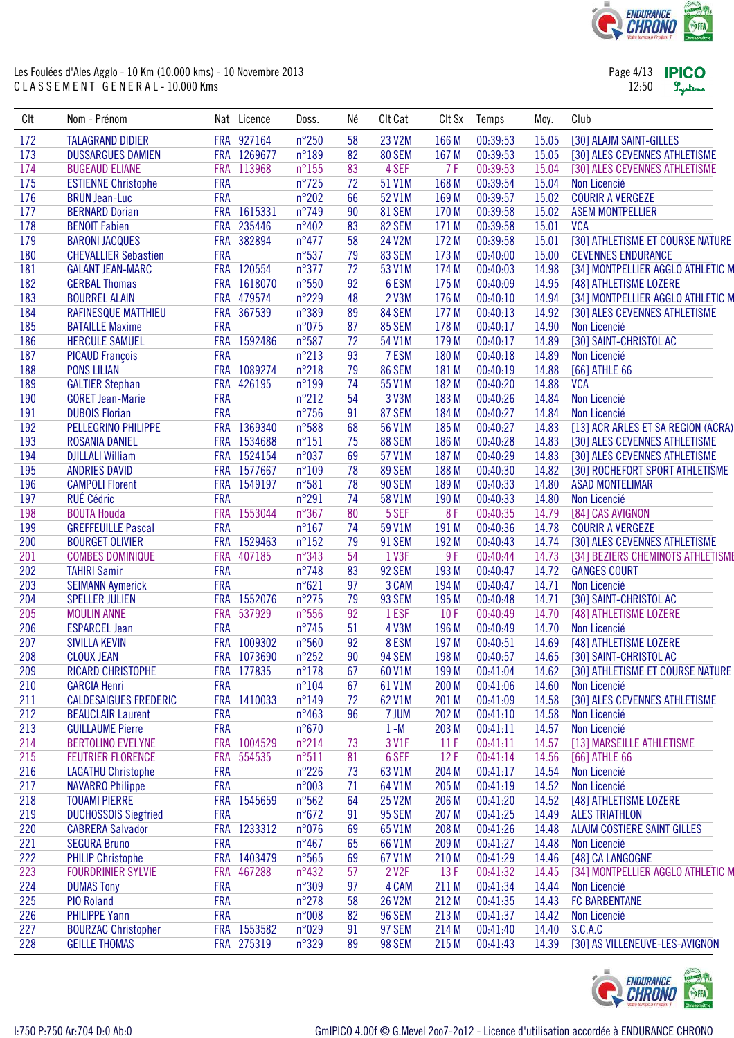

| Page 4/13 | <b>IPICO</b> |
|-----------|--------------|
| 12:50     | Lystems      |

| CIt | Nom - Prénom                 |            | Nat Licence | Doss.           | Né | Clt Cat            | CIt Sx | Temps    | Moy.  | Club                               |
|-----|------------------------------|------------|-------------|-----------------|----|--------------------|--------|----------|-------|------------------------------------|
| 172 | <b>TALAGRAND DIDIER</b>      |            | FRA 927164  | $n^{\circ}250$  | 58 | 23 V2M             | 166 M  | 00:39:53 | 15.05 | [30] ALAJM SAINT-GILLES            |
| 173 | <b>DUSSARGUES DAMIEN</b>     |            | FRA 1269677 | $n^{\circ}189$  | 82 | 80 SEM             | 167 M  | 00:39:53 | 15.05 | [30] ALES CEVENNES ATHLETISME      |
| 174 | <b>BUGEAUD ELIANE</b>        | <b>FRA</b> | 113968      | $n^{\circ}155$  | 83 | 4 SEF              | 7F     | 00:39:53 | 15.04 | [30] ALES CEVENNES ATHLETISME      |
| 175 | <b>ESTIENNE Christophe</b>   | <b>FRA</b> |             | $n^{\circ}$ 725 | 72 | 51 V1M             | 168 M  | 00:39:54 | 15.04 | Non Licencié                       |
| 176 | <b>BRUN Jean-Luc</b>         | <b>FRA</b> |             | $n^{\circ}202$  | 66 | 52 V1M             | 169 M  | 00:39:57 | 15.02 | <b>COURIR A VERGEZE</b>            |
| 177 | <b>BERNARD Dorian</b>        |            | FRA 1615331 | $n^{\circ}$ 749 | 90 | 81 SEM             | 170 M  | 00:39:58 | 15.02 | <b>ASEM MONTPELLIER</b>            |
| 178 | <b>BENOIT Fabien</b>         |            | FRA 235446  | n°402           | 83 | 82 SEM             | 171 M  | 00:39:58 | 15.01 | <b>VCA</b>                         |
| 179 | <b>BARONI JACQUES</b>        |            | FRA 382894  | $n^{\circ}477$  | 58 | 24 V2M             | 172 M  | 00:39:58 | 15.01 | [30] ATHLETISME ET COURSE NATURE   |
| 180 | <b>CHEVALLIER Sebastien</b>  | <b>FRA</b> |             | $n^{\circ}537$  | 79 | 83 SEM             | 173 M  | 00:40:00 | 15.00 | <b>CEVENNES ENDURANCE</b>          |
| 181 | <b>GALANT JEAN-MARC</b>      |            | FRA 120554  | $n^{\circ}377$  | 72 | 53 V1M             | 174 M  | 00:40:03 | 14.98 | [34] MONTPELLIER AGGLO ATHLETIC M  |
| 182 | <b>GERBAL Thomas</b>         |            | FRA 1618070 | $n^{\circ}550$  | 92 | 6 ESM              | 175 M  | 00:40:09 | 14.95 | [48] ATHLETISME LOZERE             |
| 183 | <b>BOURREL ALAIN</b>         |            | FRA 479574  | $n^{\circ}$ 229 | 48 | 2 V3M              | 176 M  | 00:40:10 | 14.94 | [34] MONTPELLIER AGGLO ATHLETIC M  |
| 184 | RAFINESQUE MATTHIEU          |            | FRA 367539  | n°389           | 89 | 84 SEM             | 177 M  | 00:40:13 | 14.92 | [30] ALES CEVENNES ATHLETISME      |
| 185 | <b>BATAILLE Maxime</b>       | <b>FRA</b> |             | n°075           | 87 | 85 SEM             | 178 M  | 00:40:17 | 14.90 | Non Licencié                       |
| 186 | <b>HERCULE SAMUEL</b>        |            | FRA 1592486 | $n^{\circ}587$  | 72 | 54 V1M             | 179 M  | 00:40:17 | 14.89 | [30] SAINT-CHRISTOL AC             |
| 187 | <b>PICAUD François</b>       | <b>FRA</b> |             | $n^{\circ}213$  | 93 | 7 ESM              | 180 M  | 00:40:18 | 14.89 | Non Licencié                       |
| 188 | <b>PONS LILIAN</b>           |            | FRA 1089274 | $n^{\circ}218$  | 79 | 86 SEM             | 181 M  | 00:40:19 | 14.88 | [66] ATHLE 66                      |
| 189 | <b>GALTIER Stephan</b>       |            | FRA 426195  | $n^{\circ}199$  | 74 | 55 V1M             | 182 M  | 00:40:20 | 14.88 | <b>VCA</b>                         |
| 190 | <b>GORET Jean-Marie</b>      | <b>FRA</b> |             | $n^{\circ}212$  | 54 | 3 V3M              | 183 M  | 00:40:26 | 14.84 | Non Licencié                       |
| 191 | <b>DUBOIS Florian</b>        | <b>FRA</b> |             | $n^{\circ}756$  | 91 | 87 SEM             | 184 M  | 00:40:27 | 14.84 | Non Licencié                       |
| 192 | PELLEGRINO PHILIPPE          |            | FRA 1369340 | n°588           | 68 | 56 V1M             | 185 M  | 00:40:27 | 14.83 | [13] ACR ARLES ET SA REGION (ACRA) |
| 193 | <b>ROSANIA DANIEL</b>        |            | FRA 1534688 | $n^{\circ}151$  | 75 | 88 SEM             | 186 M  | 00:40:28 | 14.83 | [30] ALES CEVENNES ATHLETISME      |
| 194 | <b>DJILLALI William</b>      |            | FRA 1524154 | n°037           | 69 | 57 V1M             | 187 M  | 00:40:29 | 14.83 | [30] ALES CEVENNES ATHLETISME      |
| 195 | <b>ANDRIES DAVID</b>         |            | FRA 1577667 | $n^{\circ}109$  | 78 | 89 SEM             | 188 M  | 00:40:30 | 14.82 | [30] ROCHEFORT SPORT ATHLETISME    |
| 196 | <b>CAMPOLI Florent</b>       |            | FRA 1549197 | n°581           | 78 | 90 SEM             | 189 M  | 00:40:33 | 14.80 | <b>ASAD MONTELIMAR</b>             |
| 197 | <b>RUÉ Cédric</b>            | <b>FRA</b> |             | $n^{\circ}291$  | 74 | 58 V1M             | 190 M  | 00:40:33 | 14.80 | Non Licencié                       |
| 198 | <b>BOUTA Houda</b>           |            | FRA 1553044 | $n^{\circ}367$  | 80 | 5 SEF              | 8F     | 00:40:35 | 14.79 | [84] CAS AVIGNON                   |
| 199 | <b>GREFFEUILLE Pascal</b>    | <b>FRA</b> |             | $n^{\circ}167$  | 74 | 59 V1M             | 191 M  | 00:40:36 | 14.78 | <b>COURIR A VERGEZE</b>            |
| 200 | <b>BOURGET OLIVIER</b>       |            | FRA 1529463 | $n^{\circ}152$  | 79 | 91 SEM             | 192 M  | 00:40:43 | 14.74 | [30] ALES CEVENNES ATHLETISME      |
| 201 | <b>COMBES DOMINIQUE</b>      |            | FRA 407185  | n°343           | 54 | 1 V3F              | 9F     | 00:40:44 | 14.73 | [34] BEZIERS CHEMINOTS ATHLETISME  |
| 202 | <b>TAHIRI Samir</b>          | <b>FRA</b> |             | $n^{\circ}$ 748 | 83 | 92 SEM             | 193 M  | 00:40:47 | 14.72 | <b>GANGES COURT</b>                |
| 203 | <b>SEIMANN Aymerick</b>      | <b>FRA</b> |             | $n^{\circ}621$  | 97 | 3 CAM              | 194 M  | 00:40:47 | 14.71 | Non Licencié                       |
| 204 | <b>SPELLER JULIEN</b>        | <b>FRA</b> | 1552076     | $n^{\circ}$ 275 | 79 | 93 SEM             | 195 M  | 00:40:48 | 14.71 | [30] SAINT-CHRISTOL AC             |
| 205 | <b>MOULIN ANNE</b>           |            | FRA 537929  | $n^{\circ}556$  | 92 | 1 ESF              | 10F    | 00:40:49 | 14.70 | [48] ATHLETISME LOZERE             |
| 206 | <b>ESPARCEL Jean</b>         | <b>FRA</b> |             | $n^{\circ}$ 745 | 51 | 4 V3M              | 196 M  | 00:40:49 | 14.70 | Non Licencié                       |
| 207 | <b>SIVILLA KEVIN</b>         |            | FRA 1009302 | n°560           | 92 | 8 ESM              | 197 M  | 00:40:51 | 14.69 | [48] ATHLETISME LOZERE             |
| 208 | <b>CLOUX JEAN</b>            |            | FRA 1073690 | $n^{\circ}252$  | 90 | 94 SEM             | 198 M  | 00:40:57 | 14.65 | [30] SAINT-CHRISTOL AC             |
| 209 | RICARD CHRISTOPHE            |            | FRA 177835  | $n^{\circ}178$  | 67 | 60 V1M             | 199 M  | 00:41:04 | 14.62 | [30] ATHLETISME ET COURSE NATURE   |
| 210 | <b>GARCIA Henri</b>          | <b>FRA</b> |             | $n^{\circ}104$  | 67 | 61 V1M             | 200 M  | 00:41:06 | 14.60 | Non Licencié                       |
| 211 | <b>CALDESAIGUES FREDERIC</b> |            | FRA 1410033 | $n^{\circ}$ 149 | 72 | 62 V1M             | 201 M  | 00:41:09 | 14.58 | [30] ALES CEVENNES ATHLETISME      |
| 212 | <b>BEAUCLAIR Laurent</b>     | <b>FRA</b> |             | $n^{\circ}463$  | 96 | 7 JUM              | 202 M  | 00:41:10 | 14.58 | Non Licencié                       |
| 213 | <b>GUILLAUME Pierre</b>      | <b>FRA</b> |             | $n^{\circ}670$  |    | $1 - M$            | 203 M  | 00:41:11 | 14.57 | Non Licencié                       |
| 214 | <b>BERTOLINO EVELYNE</b>     |            | FRA 1004529 | $n^{\circ}214$  | 73 | 3 V1F              | 11F    | 00:41:11 | 14.57 | [13] MARSEILLE ATHLETISME          |
| 215 | <b>FEUTRIER FLORENCE</b>     | <b>FRA</b> | 554535      | $n^{\circ}511$  | 81 | 6 SEF              | 12F    | 00:41:14 | 14.56 | [66] ATHLE 66                      |
| 216 | <b>LAGATHU Christophe</b>    | <b>FRA</b> |             | $n^{\circ}226$  | 73 | 63 V1M             | 204 M  | 00:41:17 | 14.54 | Non Licencié                       |
| 217 | <b>NAVARRO Philippe</b>      | <b>FRA</b> |             | n°003           | 71 | 64 V1M             | 205 M  | 00:41:19 | 14.52 | Non Licencié                       |
| 218 | <b>TOUAMI PIERRE</b>         |            | FRA 1545659 | n°562           | 64 | 25 V2M             | 206 M  | 00:41:20 | 14.52 | [48] ATHLETISME LOZERE             |
| 219 | <b>DUCHOSSOIS Siegfried</b>  | <b>FRA</b> |             | $n^{\circ}672$  | 91 | <b>95 SEM</b>      | 207 M  | 00:41:25 | 14.49 | <b>ALES TRIATHLON</b>              |
| 220 | <b>CABRERA Salvador</b>      |            | FRA 1233312 | n°076           | 69 | 65 V1M             | 208 M  | 00:41:26 | 14.48 | ALAJM COSTIERE SAINT GILLES        |
| 221 | <b>SEGURA Bruno</b>          | <b>FRA</b> |             | $n^{\circ}467$  | 65 | 66 V1M             | 209 M  | 00:41:27 | 14.48 | Non Licencié                       |
| 222 | <b>PHILIP Christophe</b>     |            | FRA 1403479 | $n^{\circ}565$  | 69 | 67 V1M             | 210 M  | 00:41:29 | 14.46 | [48] CA LANGOGNE                   |
| 223 | <b>FOURDRINIER SYLVIE</b>    | <b>FRA</b> | 467288      | $n^{\circ}432$  | 57 | 2 V <sub>2</sub> F | 13F    | 00:41:32 | 14.45 | [34] MONTPELLIER AGGLO ATHLETIC M  |
| 224 | <b>DUMAS Tony</b>            | <b>FRA</b> |             | n°309           | 97 | 4 CAM              | 211 M  | 00:41:34 | 14.44 | Non Licencié                       |
| 225 | <b>PIO Roland</b>            | <b>FRA</b> |             | $n^{\circ}$ 278 | 58 | 26 V2M             | 212 M  | 00:41:35 | 14.43 | <b>FC BARBENTANE</b>               |
| 226 | <b>PHILIPPE Yann</b>         | <b>FRA</b> |             | n°008           | 82 | <b>96 SEM</b>      | 213 M  | 00:41:37 | 14.42 | Non Licencié                       |
| 227 | <b>BOURZAC Christopher</b>   |            | FRA 1553582 | n°029           | 91 | 97 SEM             | 214 M  | 00:41:40 | 14.40 | S.C.A.C                            |
| 228 | <b>GEILLE THOMAS</b>         |            | FRA 275319  | n°329           | 89 | 98 SEM             | 215 M  | 00:41:43 | 14.39 | [30] AS VILLENEUVE-LES-AVIGNON     |

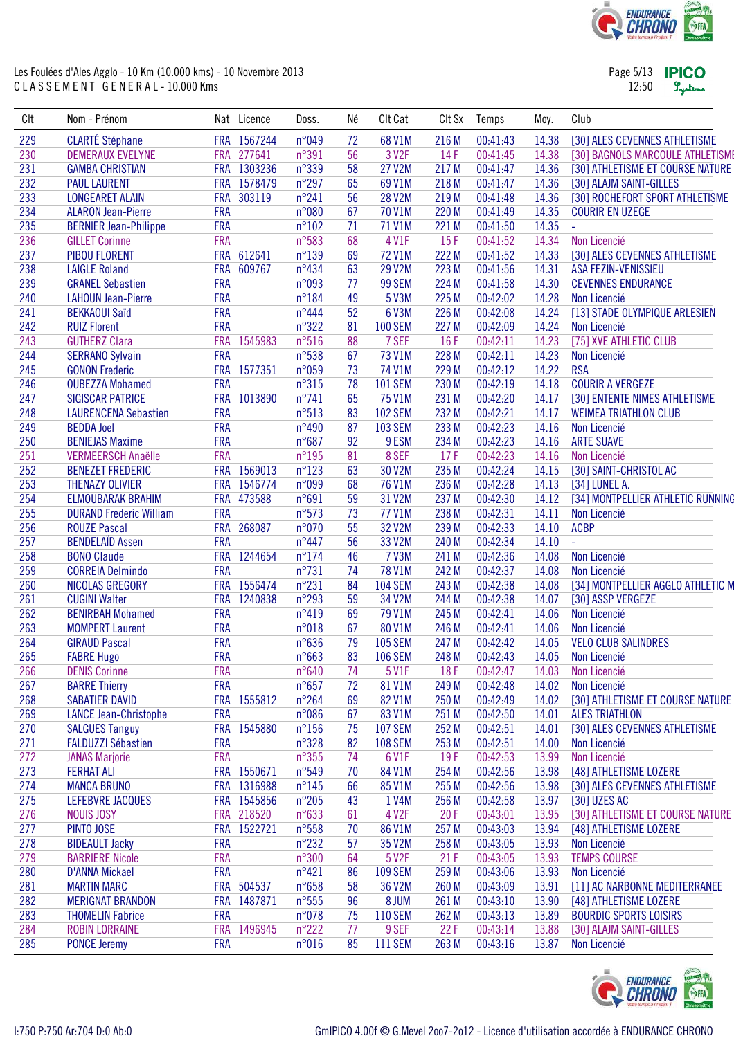

| Page 5/13 | <b>IPICC</b> |
|-----------|--------------|
| 12:50     | Lystem       |

| Clt | Nom - Prénom                                  |            | Nat Licence | Doss.           | Né | Clt Cat           | CIt Sx | Temps    | Moy.  | Club                              |
|-----|-----------------------------------------------|------------|-------------|-----------------|----|-------------------|--------|----------|-------|-----------------------------------|
| 229 | <b>CLARTÉ Stéphane</b>                        |            | FRA 1567244 | n°049           | 72 | 68 V1M            | 216 M  | 00:41:43 | 14.38 | [30] ALES CEVENNES ATHLETISME     |
| 230 | <b>DEMERAUX EVELYNE</b>                       |            | FRA 277641  | n°391           | 56 | 3 V <sub>2F</sub> | 14F    | 00:41:45 | 14.38 | [30] BAGNOLS MARCOULE ATHLETISME  |
| 231 | <b>GAMBA CHRISTIAN</b>                        |            | FRA 1303236 | n°339           | 58 | 27 V2M            | 217 M  | 00:41:47 | 14.36 | [30] ATHLETISME ET COURSE NATURE  |
| 232 | <b>PAUL LAURENT</b>                           |            | FRA 1578479 | $n^{\circ}297$  | 65 | 69 V1M            | 218 M  | 00:41:47 | 14.36 | [30] ALAJM SAINT-GILLES           |
| 233 | <b>LONGEARET ALAIN</b>                        | <b>FRA</b> | 303119      | $n^{\circ}241$  | 56 | <b>28 V2M</b>     | 219 M  | 00:41:48 | 14.36 | [30] ROCHEFORT SPORT ATHLETISME   |
| 234 | <b>ALARON Jean-Pierre</b>                     | <b>FRA</b> |             | n°080           | 67 | 70 V1M            | 220 M  | 00:41:49 | 14.35 | <b>COURIR EN UZEGE</b>            |
| 235 | <b>BERNIER Jean-Philippe</b>                  | <b>FRA</b> |             | $n^{\circ}102$  | 71 | 71 V1M            | 221 M  | 00:41:50 | 14.35 | $\omega$                          |
| 236 | <b>GILLET Corinne</b>                         | <b>FRA</b> |             | n°583           | 68 | 4 V1F             | 15F    | 00:41:52 | 14.34 | Non Licencié                      |
| 237 | <b>PIBOU FLORENT</b>                          |            | FRA 612641  | $n^{\circ}139$  | 69 | 72 V1M            | 222 M  | 00:41:52 | 14.33 | [30] ALES CEVENNES ATHLETISME     |
| 238 | <b>LAIGLE Roland</b>                          |            | FRA 609767  | $n^{\circ}434$  | 63 | <b>29 V2M</b>     | 223 M  | 00:41:56 | 14.31 | ASA FEZIN-VENISSIEU               |
| 239 | <b>GRANEL Sebastien</b>                       | <b>FRA</b> |             | n°093           | 77 | 99 SEM            | 224 M  | 00:41:58 | 14.30 | <b>CEVENNES ENDURANCE</b>         |
| 240 | <b>LAHOUN Jean-Pierre</b>                     | <b>FRA</b> |             | $n^{\circ}184$  | 49 | 5 V3M             | 225 M  | 00:42:02 | 14.28 | Non Licencié                      |
| 241 | <b>BEKKAOUI Saïd</b>                          | <b>FRA</b> |             | $n^{\circ}444$  | 52 | 6 V3M             | 226 M  | 00:42:08 | 14.24 | [13] STADE OLYMPIQUE ARLESIEN     |
| 242 | <b>RUIZ Florent</b>                           | <b>FRA</b> |             | $n^{\circ}322$  | 81 | <b>100 SEM</b>    | 227 M  | 00:42:09 | 14.24 | Non Licencié                      |
| 243 | <b>GUTHERZ Clara</b>                          |            | FRA 1545983 | $n^{\circ}516$  | 88 | 7 SEF             | 16F    | 00:42:11 | 14.23 | [75] XVE ATHLETIC CLUB            |
| 244 | <b>SERRANO Sylvain</b>                        | <b>FRA</b> |             | n°538           | 67 | 73 V1M            | 228 M  | 00:42:11 | 14.23 | Non Licencié                      |
| 245 | <b>GONON Frederic</b>                         |            | FRA 1577351 | n°059           | 73 | 74 V1M            | 229 M  | 00:42:12 | 14.22 | <b>RSA</b>                        |
| 246 | <b>OUBEZZA Mohamed</b>                        | <b>FRA</b> |             | $n^{\circ}315$  | 78 | <b>101 SEM</b>    | 230 M  | 00:42:19 | 14.18 | <b>COURIR A VERGEZE</b>           |
| 247 | <b>SIGISCAR PATRICE</b>                       |            | FRA 1013890 | $n^{\circ}741$  | 65 | 75 V1M            | 231 M  | 00:42:20 | 14.17 | [30] ENTENTE NIMES ATHLETISME     |
| 248 | <b>LAURENCENA Sebastien</b>                   | <b>FRA</b> |             | n°513           | 83 | <b>102 SEM</b>    | 232 M  | 00:42:21 | 14.17 | <b>WEIMEA TRIATHLON CLUB</b>      |
| 249 | <b>BEDDA Joel</b>                             | <b>FRA</b> |             | n°490           | 87 | <b>103 SEM</b>    | 233 M  | 00:42:23 | 14.16 | Non Licencié                      |
| 250 | <b>BENIEJAS Maxime</b>                        | <b>FRA</b> |             | $n^{\circ}687$  | 92 | 9 ESM             | 234 M  | 00:42:23 | 14.16 | <b>ARTE SUAVE</b>                 |
| 251 | <b>VERMEERSCH Anaëlle</b>                     | <b>FRA</b> |             | $n^{\circ}195$  | 81 | 8 SEF             | 17F    | 00:42:23 | 14.16 | Non Licencié                      |
| 252 | <b>BENEZET FREDERIC</b>                       |            | FRA 1569013 | $n^{\circ}123$  | 63 | 30 V2M            | 235 M  | 00:42:24 | 14.15 | [30] SAINT-CHRISTOL AC            |
| 253 | <b>THENAZY OLIVIER</b>                        |            | FRA 1546774 | n°099           | 68 | 76 V1M            | 236 M  | 00:42:28 | 14.13 | [34] LUNEL A.                     |
| 254 | <b>ELMOUBARAK BRAHIM</b>                      |            | FRA 473588  | n°691           | 59 | 31 V2M            | 237 M  | 00:42:30 | 14.12 | [34] MONTPELLIER ATHLETIC RUNNING |
| 255 |                                               | <b>FRA</b> |             | n°573           | 73 | 77 V1M            | 238 M  |          | 14.11 |                                   |
|     | <b>DURAND Frederic William</b>                |            | FRA 268087  | n°070           | 55 |                   |        | 00:42:31 |       | Non Licencié                      |
| 256 | <b>ROUZE Pascal</b><br><b>BENDELAÏD Assen</b> |            |             |                 |    | 32 V2M            | 239 M  | 00:42:33 | 14.10 | <b>ACBP</b>                       |
| 257 |                                               | <b>FRA</b> |             | $n^{\circ}447$  | 56 | 33 V2M            | 240 M  | 00:42:34 | 14.10 | ÷.                                |
| 258 | <b>BONO Claude</b>                            |            | FRA 1244654 | $n^{\circ}$ 174 | 46 | <b>7 V3M</b>      | 241 M  | 00:42:36 | 14.08 | Non Licencié                      |
| 259 | <b>CORREIA Delmindo</b>                       | <b>FRA</b> |             | $n^{\circ}731$  | 74 | 78 V1M            | 242 M  | 00:42:37 | 14.08 | Non Licencié                      |
| 260 | <b>NICOLAS GREGORY</b>                        |            | FRA 1556474 | $n^{\circ}231$  | 84 | <b>104 SEM</b>    | 243 M  | 00:42:38 | 14.08 | [34] MONTPELLIER AGGLO ATHLETIC M |
| 261 | <b>CUGINI Walter</b>                          |            | FRA 1240838 | $n^{\circ}293$  | 59 | 34 V2M            | 244 M  | 00:42:38 | 14.07 | [30] ASSP VERGEZE                 |
| 262 | <b>BENIRBAH Mohamed</b>                       | <b>FRA</b> |             | n°419           | 69 | 79 V1M            | 245 M  | 00:42:41 | 14.06 | Non Licencié                      |
| 263 | <b>MOMPERT Laurent</b>                        | <b>FRA</b> |             | n°018           | 67 | 80 V1M            | 246 M  | 00:42:41 | 14.06 | Non Licencié                      |
| 264 | <b>GIRAUD Pascal</b>                          | <b>FRA</b> |             | $n^{\circ}636$  | 79 | <b>105 SEM</b>    | 247 M  | 00:42:42 | 14.05 | <b>VELO CLUB SALINDRES</b>        |
| 265 | <b>FABRE Hugo</b>                             | <b>FRA</b> |             | $n^{\circ}663$  | 83 | <b>106 SEM</b>    | 248 M  | 00:42:43 | 14.05 | Non Licencié                      |
| 266 | <b>DENIS Corinne</b>                          | <b>FRA</b> |             | $n^{\circ}640$  | 74 | 5 V1F             | 18F    | 00:42:47 | 14.03 | Non Licencié                      |
| 267 | <b>BARRE Thierry</b>                          | <b>FRA</b> |             | $n^{\circ}657$  | 72 | 81 V1M            | 249 M  | 00:42:48 | 14.02 | Non Licencié                      |
| 268 | <b>SABATIER DAVID</b>                         |            | FRA 1555812 | $n^{\circ}264$  | 69 | 82 V1M            | 250 M  | 00:42:49 | 14.02 | [30] ATHLETISME ET COURSE NATURE  |
| 269 | <b>LANCE Jean-Christophe</b>                  | <b>FRA</b> |             | n°086           | 67 | 83 V1M            | 251 M  | 00:42:50 | 14.01 | <b>ALES TRIATHLON</b>             |
| 270 | <b>SALGUES Tanguy</b>                         |            | FRA 1545880 | $n^{\circ}156$  | 75 | <b>107 SEM</b>    | 252 M  | 00:42:51 | 14.01 | [30] ALES CEVENNES ATHLETISME     |
| 271 | <b>FALDUZZI Sébastien</b>                     | <b>FRA</b> |             | n°328           | 82 | <b>108 SEM</b>    | 253 M  | 00:42:51 | 14.00 | Non Licencié                      |
| 272 | <b>JANAS Marjorie</b>                         | <b>FRA</b> |             | $n^{\circ}355$  | 74 | 6 V1F             | 19F    | 00:42:53 | 13.99 | Non Licencié                      |
| 273 | <b>FERHAT ALI</b>                             |            | FRA 1550671 | n°549           | 70 | 84 V1M            | 254 M  | 00:42:56 | 13.98 | [48] ATHLETISME LOZERE            |
| 274 | <b>MANCA BRUNO</b>                            |            | FRA 1316988 | $n^{\circ}145$  | 66 | 85 V1M            | 255 M  | 00:42:56 | 13.98 | [30] ALES CEVENNES ATHLETISME     |
| 275 | <b>LEFEBVRE JACQUES</b>                       |            | FRA 1545856 | $n^{\circ}205$  | 43 | 1 V4M             | 256 M  | 00:42:58 | 13.97 | [30] UZES AC                      |
| 276 | <b>NOUIS JOSY</b>                             |            | FRA 218520  | $n^{\circ}633$  | 61 | 4 V2F             | 20F    | 00:43:01 | 13.95 | [30] ATHLETISME ET COURSE NATURE  |
| 277 | PINTO JOSE                                    |            | FRA 1522721 | $n^{\circ}558$  | 70 | 86 V1M            | 257 M  | 00:43:03 | 13.94 | [48] ATHLETISME LOZERE            |
| 278 | <b>BIDEAULT Jacky</b>                         | <b>FRA</b> |             | $n^{\circ}232$  | 57 | 35 V2M            | 258 M  | 00:43:05 | 13.93 | Non Licencié                      |
| 279 | <b>BARRIERE Nicole</b>                        | <b>FRA</b> |             | $n^{\circ}300$  | 64 | 5 V2F             | 21F    | 00:43:05 | 13.93 | <b>TEMPS COURSE</b>               |
| 280 | <b>D'ANNA Mickael</b>                         | <b>FRA</b> |             | $n^{\circ}421$  | 86 | <b>109 SEM</b>    | 259 M  | 00:43:06 | 13.93 | Non Licencié                      |
| 281 | <b>MARTIN MARC</b>                            |            | FRA 504537  | $n^{\circ}658$  | 58 | 36 V2M            | 260 M  | 00:43:09 | 13.91 | [11] AC NARBONNE MEDITERRANEE     |
| 282 | <b>MERIGNAT BRANDON</b>                       |            | FRA 1487871 | $n^{\circ}555$  | 96 | 8 JUM             | 261 M  | 00:43:10 | 13.90 | [48] ATHLETISME LOZERE            |
| 283 | <b>THOMELIN Fabrice</b>                       | <b>FRA</b> |             | n°078           | 75 | <b>110 SEM</b>    | 262 M  | 00:43:13 | 13.89 | <b>BOURDIC SPORTS LOISIRS</b>     |
| 284 | <b>ROBIN LORRAINE</b>                         |            | FRA 1496945 | $n^{\circ}222$  | 77 | 9 SEF             | 22F    | 00:43:14 | 13.88 | [30] ALAJM SAINT-GILLES           |
| 285 | <b>PONCE Jeremy</b>                           | <b>FRA</b> |             | n°016           | 85 | <b>111 SEM</b>    | 263 M  | 00:43:16 | 13.87 | Non Licencié                      |
|     |                                               |            |             |                 |    |                   |        |          |       |                                   |

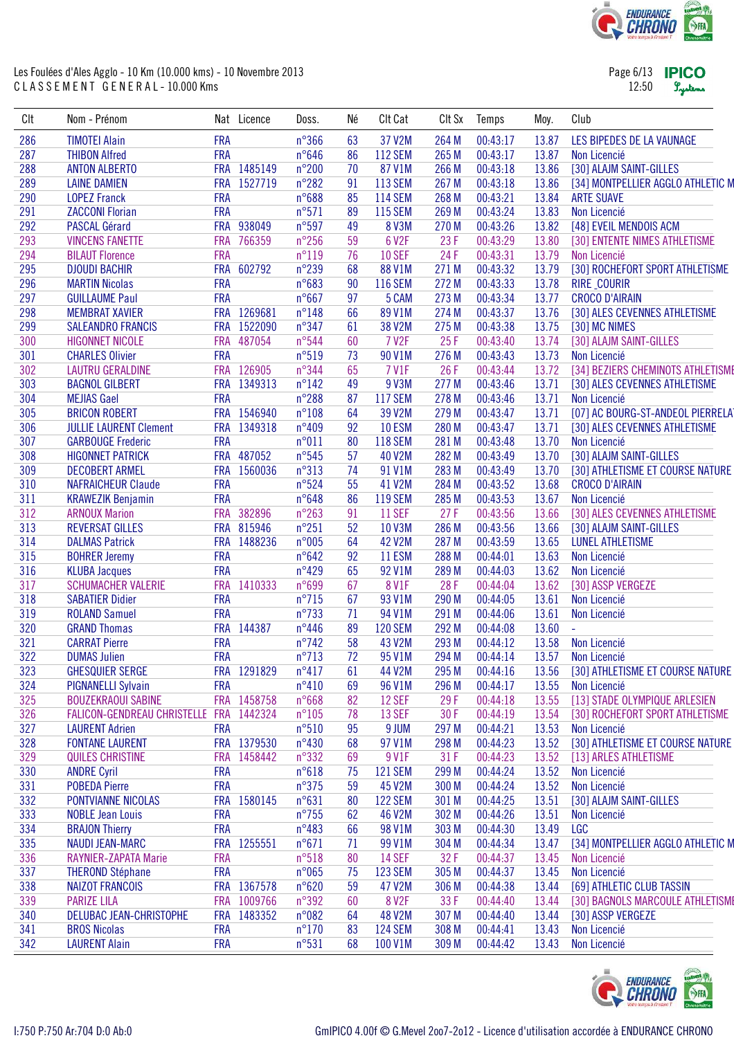

Page 6/13 **IPICO** 12:50 Lystems

| CIt | Nom - Prénom                  |            | Nat Licence | Doss.           | Né | Clt Cat        | CIt Sx | Temps    | Moy.  | Club                              |
|-----|-------------------------------|------------|-------------|-----------------|----|----------------|--------|----------|-------|-----------------------------------|
| 286 | <b>TIMOTEI Alain</b>          | <b>FRA</b> |             | $n^{\circ}366$  | 63 | 37 V2M         | 264 M  | 00:43:17 | 13.87 | LES BIPEDES DE LA VAUNAGE         |
| 287 | <b>THIBON Alfred</b>          | <b>FRA</b> |             | $n^{\circ}646$  | 86 | <b>112 SEM</b> | 265 M  | 00:43:17 | 13.87 | Non Licencié                      |
| 288 | <b>ANTON ALBERTO</b>          |            | FRA 1485149 | $n^{\circ}200$  | 70 | 87 V1M         | 266 M  | 00:43:18 | 13.86 | [30] ALAJM SAINT-GILLES           |
| 289 | <b>LAINE DAMIEN</b>           | <b>FRA</b> | 1527719     | $n^{\circ}282$  | 91 | <b>113 SEM</b> | 267 M  | 00:43:18 | 13.86 | [34] MONTPELLIER AGGLO ATHLETIC M |
| 290 | <b>LOPEZ Franck</b>           | <b>FRA</b> |             | $n^{\circ}688$  | 85 | <b>114 SEM</b> | 268 M  | 00:43:21 | 13.84 | <b>ARTE SUAVE</b>                 |
| 291 | <b>ZACCONI Florian</b>        | <b>FRA</b> |             | $n^{\circ}571$  | 89 | <b>115 SEM</b> | 269 M  | 00:43:24 | 13.83 | Non Licencié                      |
| 292 | <b>PASCAL Gérard</b>          | <b>FRA</b> | 938049      | $n^{\circ}597$  | 49 | <b>8 V3M</b>   | 270 M  | 00:43:26 | 13.82 | [48] EVEIL MENDOIS ACM            |
| 293 | <b>VINCENS FANETTE</b>        | <b>FRA</b> | 766359      | $n^{\circ}256$  | 59 | 6 V2F          | 23F    | 00:43:29 | 13.80 | [30] ENTENTE NIMES ATHLETISME     |
| 294 | <b>BILAUT Florence</b>        | <b>FRA</b> |             | $n^{\circ}119$  | 76 | <b>10 SEF</b>  | 24F    | 00:43:31 | 13.79 | Non Licencié                      |
| 295 | <b>DJOUDI BACHIR</b>          | <b>FRA</b> | 602792      | $n^{\circ}239$  | 68 | 88 V1M         | 271 M  | 00:43:32 | 13.79 | [30] ROCHEFORT SPORT ATHLETISME   |
| 296 | <b>MARTIN Nicolas</b>         | <b>FRA</b> |             | $n^{\circ}683$  | 90 | <b>116 SEM</b> | 272 M  | 00:43:33 | 13.78 | <b>RIRE_COURIR</b>                |
| 297 | <b>GUILLAUME Paul</b>         | <b>FRA</b> |             | $n^{\circ}667$  | 97 | 5 CAM          | 273 M  | 00:43:34 | 13.77 | <b>CROCO D'AIRAIN</b>             |
| 298 | <b>MEMBRAT XAVIER</b>         |            | FRA 1269681 | $n^{\circ}148$  | 66 | 89 V1M         | 274 M  | 00:43:37 | 13.76 | [30] ALES CEVENNES ATHLETISME     |
| 299 | <b>SALEANDRO FRANCIS</b>      |            | FRA 1522090 | $n^{\circ}347$  | 61 | 38 V2M         | 275 M  | 00:43:38 | 13.75 | [30] MC NIMES                     |
| 300 | <b>HIGONNET NICOLE</b>        | <b>FRA</b> | 487054      | $n^{\circ}544$  | 60 | <b>7 V2F</b>   | 25F    | 00:43:40 | 13.74 | [30] ALAJM SAINT-GILLES           |
| 301 | <b>CHARLES Olivier</b>        | <b>FRA</b> |             | $n^{\circ}519$  | 73 | 90 V1M         | 276 M  | 00:43:43 | 13.73 | Non Licencié                      |
| 302 | <b>LAUTRU GERALDINE</b>       |            | FRA 126905  | $n^{\circ}344$  | 65 | <b>7 V1F</b>   | 26F    | 00:43:44 | 13.72 | [34] BEZIERS CHEMINOTS ATHLETISME |
| 303 | <b>BAGNOL GILBERT</b>         | <b>FRA</b> | 1349313     | $n^{\circ}142$  | 49 | 9 V3M          | 277 M  | 00:43:46 | 13.71 | [30] ALES CEVENNES ATHLETISME     |
| 304 | <b>MEJIAS Gael</b>            | <b>FRA</b> |             | $n^{\circ}288$  | 87 | <b>117 SEM</b> | 278 M  | 00:43:46 | 13.71 | Non Licencié                      |
| 305 | <b>BRICON ROBERT</b>          |            | FRA 1546940 | $n^{\circ}108$  | 64 | 39 V2M         | 279 M  | 00:43:47 | 13.71 | [07] AC BOURG-ST-ANDEOL PIERRELAT |
| 306 | <b>JULLIE LAURENT Clement</b> | <b>FRA</b> | 1349318     | n°409           | 92 | <b>10 ESM</b>  | 280 M  | 00:43:47 | 13.71 | [30] ALES CEVENNES ATHLETISME     |
| 307 | <b>GARBOUGE Frederic</b>      | <b>FRA</b> |             | n°011           | 80 | <b>118 SEM</b> | 281 M  | 00:43:48 | 13.70 | Non Licencié                      |
| 308 | <b>HIGONNET PATRICK</b>       |            | FRA 487052  | $n^{\circ}545$  | 57 | 40 V2M         | 282 M  | 00:43:49 | 13.70 | [30] ALAJM SAINT-GILLES           |
| 309 | <b>DECOBERT ARMEL</b>         | <b>FRA</b> | 1560036     | $n^{\circ}313$  | 74 | 91 V1M         | 283 M  | 00:43:49 | 13.70 | [30] ATHLETISME ET COURSE NATURE  |
| 310 | <b>NAFRAICHEUR Claude</b>     | <b>FRA</b> |             | $n^{\circ}524$  | 55 | 41 V2M         | 284 M  | 00:43:52 | 13.68 | <b>CROCO D'AIRAIN</b>             |
| 311 | <b>KRAWEZIK Benjamin</b>      | <b>FRA</b> |             | $n^{\circ}648$  | 86 | <b>119 SEM</b> | 285 M  | 00:43:53 | 13.67 | Non Licencié                      |
| 312 | <b>ARNOUX Marion</b>          | <b>FRA</b> | 382896      | $n^{\circ}263$  | 91 | <b>11 SEF</b>  | 27F    | 00:43:56 | 13.66 | [30] ALES CEVENNES ATHLETISME     |
| 313 | <b>REVERSAT GILLES</b>        | <b>FRA</b> | 815946      | $n^{\circ}251$  | 52 | 10 V3M         | 286 M  | 00:43:56 | 13.66 | [30] ALAJM SAINT-GILLES           |
| 314 | <b>DALMAS Patrick</b>         | <b>FRA</b> | 1488236     | n°005           | 64 | 42 V2M         | 287 M  | 00:43:59 | 13.65 | <b>LUNEL ATHLETISME</b>           |
| 315 | <b>BOHRER Jeremy</b>          | <b>FRA</b> |             | $n^{\circ}642$  | 92 | <b>11 ESM</b>  | 288 M  | 00:44:01 | 13.63 | Non Licencié                      |
| 316 | <b>KLUBA Jacques</b>          | <b>FRA</b> |             | $n^{\circ}429$  | 65 | 92 V1M         | 289 M  | 00:44:03 | 13.62 | Non Licencié                      |
| 317 | <b>SCHUMACHER VALERIE</b>     | <b>FRA</b> | 1410333     | n°699           | 67 | <b>8 V1F</b>   | 28F    | 00:44:04 | 13.62 | [30] ASSP VERGEZE                 |
| 318 | <b>SABATIER Didier</b>        | <b>FRA</b> |             | $n^{\circ}715$  | 67 | 93 V1M         | 290 M  | 00:44:05 | 13.61 | Non Licencié                      |
| 319 | <b>ROLAND Samuel</b>          | <b>FRA</b> |             | $n^{\circ}$ 733 | 71 | 94 V1M         | 291 M  | 00:44:06 | 13.61 | Non Licencié                      |
| 320 | <b>GRAND Thomas</b>           | <b>FRA</b> | 144387      | $n^{\circ}446$  | 89 | <b>120 SEM</b> | 292 M  | 00:44:08 | 13.60 | ä,                                |
| 321 | <b>CARRAT Pierre</b>          | <b>FRA</b> |             | $n^{\circ}742$  | 58 | 43 V2M         | 293 M  | 00:44:12 | 13.58 | Non Licencié                      |
| 322 | <b>DUMAS Julien</b>           | <b>FRA</b> |             | $n^{\circ}713$  | 72 | 95 V1M         | 294 M  | 00:44:14 | 13.57 | Non Licencié                      |
| 323 | <b>GHESQUIER SERGE</b>        |            | FRA 1291829 | $n^{\circ}417$  | 61 | 44 V2M         | 295 M  | 00:44:16 | 13.56 | [30] ATHLETISME ET COURSE NATURE  |
| 324 | <b>PIGNANELLI Sylvain</b>     | <b>FRA</b> |             | $n^{\circ}410$  | 69 | 96 V1M         | 296 M  | 00:44:17 | 13.55 | Non Licencié                      |
| 325 | <b>BOUZEKRAOUI SABINE</b>     |            | FRA 1458758 | $n^{\circ}668$  | 82 | 12 SEF         | 29F    | 00:44:18 | 13.55 | [13] STADE OLYMPIQUE ARLESIEN     |
| 326 | FALICON-GENDREAU CHRISTELLE   | <b>FRA</b> | 1442324     | $n^{\circ}105$  | 78 | 13 SEF         | 30F    | 00:44:19 | 13.54 | [30] ROCHEFORT SPORT ATHLETISME   |
| 327 | <b>LAURENT Adrien</b>         | <b>FRA</b> |             | $n^{\circ}510$  | 95 | 9 JUM          | 297 M  | 00:44:21 | 13.53 | Non Licencié                      |
| 328 | <b>FONTANE LAURENT</b>        |            | FRA 1379530 | $n^{\circ}430$  | 68 | 97 V1M         | 298 M  | 00:44:23 | 13.52 | [30] ATHLETISME ET COURSE NATURE  |
| 329 | <b>QUILES CHRISTINE</b>       | <b>FRA</b> | 1458442     | $n^{\circ}332$  | 69 | 9 V1F          | 31 F   | 00:44:23 | 13.52 | [13] ARLES ATHLETISME             |
| 330 | <b>ANDRE Cyril</b>            | <b>FRA</b> |             | $n^{\circ}618$  | 75 | <b>121 SEM</b> | 299 M  | 00:44:24 | 13.52 | Non Licencié                      |
| 331 | <b>POBEDA Pierre</b>          | <b>FRA</b> |             | $n^{\circ}375$  | 59 | 45 V2M         | 300 M  | 00:44:24 | 13.52 | Non Licencié                      |
| 332 | PONTVIANNE NICOLAS            | <b>FRA</b> | 1580145     | $n^{\circ}631$  | 80 | <b>122 SEM</b> | 301 M  | 00:44:25 | 13.51 | [30] ALAJM SAINT-GILLES           |
| 333 | <b>NOBLE Jean Louis</b>       | <b>FRA</b> |             | $n^{\circ}755$  | 62 | 46 V2M         | 302 M  | 00:44:26 | 13.51 | Non Licencié                      |
| 334 | <b>BRAJON Thierry</b>         | <b>FRA</b> |             | $n^{\circ}483$  | 66 | 98 V1M         | 303 M  | 00:44:30 | 13.49 | <b>LGC</b>                        |
| 335 | <b>NAUDI JEAN-MARC</b>        | <b>FRA</b> | 1255551     | $n^{\circ}671$  | 71 | 99 V1M         | 304 M  | 00:44:34 | 13.47 | [34] MONTPELLIER AGGLO ATHLETIC M |
| 336 | <b>RAYNIER-ZAPATA Marie</b>   | <b>FRA</b> |             | $n^{\circ}518$  | 80 | <b>14 SEF</b>  | 32F    | 00:44:37 | 13.45 | Non Licencié                      |
| 337 | <b>THEROND Stéphane</b>       | <b>FRA</b> |             | n°065           | 75 | <b>123 SEM</b> | 305 M  | 00:44:37 | 13.45 | Non Licencié                      |
| 338 | <b>NAIZOT FRANCOIS</b>        |            | FRA 1367578 | $n^{\circ}620$  | 59 | 47 V2M         | 306 M  | 00:44:38 | 13.44 | [69] ATHLETIC CLUB TASSIN         |
| 339 | <b>PARIZE LILA</b>            |            | FRA 1009766 | $n^{\circ}392$  | 60 | <b>8 V2F</b>   | 33F    | 00:44:40 | 13.44 | [30] BAGNOLS MARCOULE ATHLETISME  |
| 340 | DELUBAC JEAN-CHRISTOPHE       |            | FRA 1483352 | $n^{\circ}082$  | 64 | 48 V2M         | 307 M  | 00:44:40 | 13.44 | [30] ASSP VERGEZE                 |
| 341 | <b>BROS Nicolas</b>           | <b>FRA</b> |             | $n^{\circ}170$  | 83 | <b>124 SEM</b> | 308 M  | 00:44:41 | 13.43 | Non Licencié                      |
| 342 | <b>LAURENT Alain</b>          | <b>FRA</b> |             | $n^{\circ}531$  | 68 | 100 V1M        | 309 M  | 00:44:42 | 13.43 | Non Licencié                      |
|     |                               |            |             |                 |    |                |        |          |       |                                   |

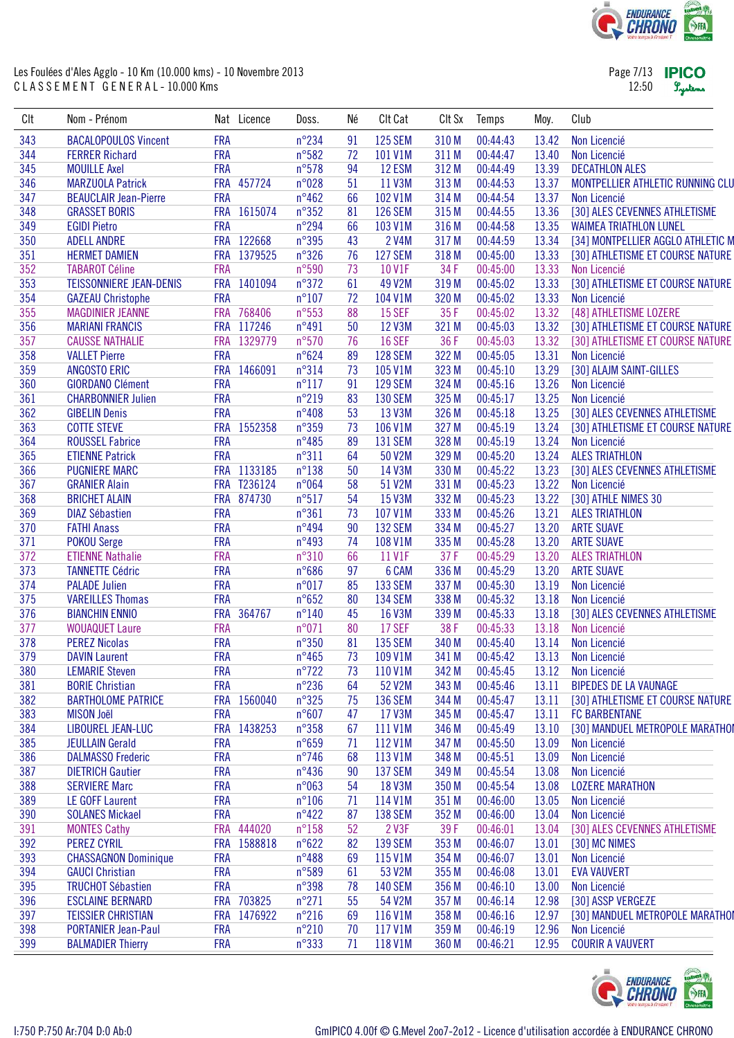

| Page 7/13 <b>IPICO</b> |         |
|------------------------|---------|
| 12:50                  | Lystems |

| CIt | Nom - Prénom                                  |            | Nat Licence | Doss.                            | Né | Clt Cat            | CIt Sx | Temps                | Moy.  | Club                                   |
|-----|-----------------------------------------------|------------|-------------|----------------------------------|----|--------------------|--------|----------------------|-------|----------------------------------------|
| 343 | <b>BACALOPOULOS Vincent</b>                   | <b>FRA</b> |             | $n^{\circ}$ 234                  | 91 | <b>125 SEM</b>     | 310 M  | 00:44:43             | 13.42 | Non Licencié                           |
| 344 | <b>FERRER Richard</b>                         | <b>FRA</b> |             | n°582                            | 72 | 101 V1M            | 311 M  | 00:44:47             | 13.40 | Non Licencié                           |
| 345 | <b>MOUILLE Axel</b>                           | <b>FRA</b> |             | $n^{\circ}578$                   | 94 | 12 ESM             | 312 M  | 00:44:49             | 13.39 | <b>DECATHLON ALES</b>                  |
| 346 | <b>MARZUOLA Patrick</b>                       | <b>FRA</b> | 457724      | n°028                            | 51 | 11 V3M             | 313 M  | 00:44:53             | 13.37 | MONTPELLIER ATHLETIC RUNNING CLU       |
| 347 | <b>BEAUCLAIR Jean-Pierre</b>                  | <b>FRA</b> |             | $n^{\circ}462$                   | 66 | 102 V1M            | 314 M  | 00:44:54             | 13.37 | Non Licencié                           |
| 348 | <b>GRASSET BORIS</b>                          |            | FRA 1615074 | $n^{\circ}352$                   | 81 | <b>126 SEM</b>     | 315 M  | 00:44:55             | 13.36 | [30] ALES CEVENNES ATHLETISME          |
| 349 | <b>EGIDI Pietro</b>                           | <b>FRA</b> |             | $n^{\circ}294$                   | 66 | 103 V1M            | 316 M  | 00:44:58             | 13.35 | <b>WAIMEA TRIATHLON LUNEL</b>          |
| 350 | <b>ADELL ANDRE</b>                            |            | FRA 122668  | n°395                            | 43 | 2 V4M              | 317 M  | 00:44:59             | 13.34 | [34] MONTPELLIER AGGLO ATHLETIC M      |
| 351 | <b>HERMET DAMIEN</b>                          |            | FRA 1379525 | $n^{\circ}326$                   | 76 | <b>127 SEM</b>     | 318 M  | 00:45:00             | 13.33 | [30] ATHLETISME ET COURSE NATURE       |
| 352 | <b>TABAROT Céline</b>                         | <b>FRA</b> |             | $n^{\circ}590$                   | 73 | 10 V1F             | 34 F   | 00:45:00             | 13.33 | Non Licencié                           |
| 353 | <b>TEISSONNIERE JEAN-DENIS</b>                | <b>FRA</b> | 1401094     | $n^{\circ}372$                   | 61 | 49 V2M             | 319 M  | 00:45:02             | 13.33 | [30] ATHLETISME ET COURSE NATURE       |
| 354 | <b>GAZEAU Christophe</b>                      | <b>FRA</b> |             | $n^{\circ}107$                   | 72 | 104 V1M            | 320 M  | 00:45:02             | 13.33 | Non Licencié                           |
| 355 | <b>MAGDINIER JEANNE</b>                       | <b>FRA</b> | 768406      | $n^{\circ}553$                   | 88 | <b>15 SEF</b>      | 35F    | 00:45:02             | 13.32 | [48] ATHLETISME LOZERE                 |
| 356 | <b>MARIANI FRANCIS</b>                        |            | FRA 117246  | n°491                            | 50 | 12 V3M             | 321 M  | 00:45:03             | 13.32 | [30] ATHLETISME ET COURSE NATURE       |
| 357 | <b>CAUSSE NATHALIE</b>                        | <b>FRA</b> | 1329779     | $n^{\circ}570$                   | 76 | <b>16 SEF</b>      | 36F    | 00:45:03             | 13.32 | [30] ATHLETISME ET COURSE NATURE       |
| 358 | <b>VALLET Pierre</b>                          | <b>FRA</b> |             | $n^{\circ}624$                   | 89 | <b>128 SEM</b>     | 322 M  | 00:45:05             | 13.31 | Non Licencié                           |
| 359 | <b>ANGOSTO ERIC</b>                           | <b>FRA</b> | 1466091     | $n^{\circ}314$                   | 73 | 105 V1M            | 323 M  | 00:45:10             | 13.29 | [30] ALAJM SAINT-GILLES                |
| 360 | <b>GIORDANO Clément</b>                       | <b>FRA</b> |             | $n^{\circ}117$                   | 91 | <b>129 SEM</b>     | 324 M  | 00:45:16             | 13.26 | Non Licencié                           |
| 361 | <b>CHARBONNIER Julien</b>                     | <b>FRA</b> |             | $n^{\circ}219$                   | 83 | <b>130 SEM</b>     | 325 M  | 00:45:17             | 13.25 | Non Licencié                           |
| 362 | <b>GIBELIN Denis</b>                          | <b>FRA</b> |             | $n^{\circ}408$                   | 53 | 13 V3M             | 326 M  | 00:45:18             | 13.25 | [30] ALES CEVENNES ATHLETISME          |
| 363 | <b>COTTE STEVE</b>                            |            | FRA 1552358 | $n^{\circ}359$                   | 73 | 106 V1M            | 327 M  | 00:45:19             | 13.24 | [30] ATHLETISME ET COURSE NATURE       |
| 364 | <b>ROUSSEL Fabrice</b>                        | <b>FRA</b> |             | $n^{\circ}485$                   | 89 | <b>131 SEM</b>     | 328 M  | 00:45:19             | 13.24 | Non Licencié                           |
| 365 | <b>ETIENNE Patrick</b>                        | <b>FRA</b> |             | $n^{\circ}311$                   | 64 | 50 V2M             | 329 M  | 00:45:20             | 13.24 | <b>ALES TRIATHLON</b>                  |
| 366 | <b>PUGNIERE MARC</b>                          |            | FRA 1133185 | $n^{\circ}138$                   | 50 | 14 V3M             | 330 M  | 00:45:22             | 13.23 | [30] ALES CEVENNES ATHLETISME          |
| 367 | <b>GRANIER Alain</b>                          |            | FRA T236124 | n°064                            | 58 | 51 V2M             | 331 M  | 00:45:23             | 13.22 | Non Licencié                           |
| 368 | <b>BRICHET ALAIN</b>                          |            | FRA 874730  | $n^{\circ}517$                   | 54 | 15 V3M             | 332 M  | 00:45:23             | 13.22 | [30] ATHLE NIMES 30                    |
| 369 | <b>DIAZ Sébastien</b>                         | <b>FRA</b> |             | $n^{\circ}361$                   | 73 | 107 V1M            | 333 M  | 00:45:26             | 13.21 | <b>ALES TRIATHLON</b>                  |
| 370 | <b>FATHI Anass</b>                            | <b>FRA</b> |             | $n^{\circ}494$                   | 90 | <b>132 SEM</b>     | 334 M  | 00:45:27             | 13.20 | <b>ARTE SUAVE</b>                      |
| 371 | <b>POKOU Serge</b>                            | <b>FRA</b> |             | $n^{\circ}493$                   | 74 | 108 V1M            | 335 M  | 00:45:28             | 13.20 | <b>ARTE SUAVE</b>                      |
| 372 | <b>ETIENNE Nathalie</b>                       | <b>FRA</b> |             | $n^{\circ}310$                   | 66 | 11 V1F             | 37F    | 00:45:29             | 13.20 | <b>ALES TRIATHLON</b>                  |
| 373 | <b>TANNETTE Cédric</b>                        | <b>FRA</b> |             | $n^{\circ}686$                   | 97 | 6 CAM              | 336 M  | 00:45:29             | 13.20 | <b>ARTE SUAVE</b>                      |
| 374 | <b>PALADE Julien</b>                          | <b>FRA</b> |             | n°017                            | 85 | <b>133 SEM</b>     | 337 M  | 00:45:30             | 13.19 | Non Licencié                           |
| 375 | <b>VAREILLES Thomas</b>                       | <b>FRA</b> |             | $n^{\circ}652$                   | 80 | <b>134 SEM</b>     | 338 M  | 00:45:32             | 13.18 | Non Licencié                           |
| 376 | <b>BIANCHIN ENNIO</b>                         | <b>FRA</b> | 364767      | $n^{\circ}140$                   | 45 | 16 V3M             | 339 M  | 00:45:33             | 13.18 | [30] ALES CEVENNES ATHLETISME          |
| 377 | <b>WOUAQUET Laure</b>                         | <b>FRA</b> |             | n°071                            | 80 | <b>17 SEF</b>      | 38F    | 00:45:33             | 13.18 | Non Licencié                           |
| 378 | <b>PEREZ Nicolas</b>                          | <b>FRA</b> |             | $n^{\circ}350$                   | 81 | <b>135 SEM</b>     | 340 M  | 00:45:40             | 13.14 | Non Licencié                           |
| 379 |                                               | <b>FRA</b> |             |                                  | 73 |                    | 341 M  |                      | 13.13 |                                        |
| 380 | <b>DAVIN Laurent</b><br><b>LEMARIE Steven</b> | <b>FRA</b> |             | $n^{\circ}465$<br>$n^{\circ}722$ | 73 | 109 V1M<br>110 V1M | 342 M  | 00:45:42<br>00:45:45 | 13.12 | Non Licencié<br>Non Licencié           |
| 381 | <b>BORIE Christian</b>                        | <b>FRA</b> |             | $n^{\circ}236$                   | 64 | 52 V2M             | 343 M  | 00:45:46             | 13.11 | <b>BIPEDES DE LA VAUNAGE</b>           |
| 382 | <b>BARTHOLOME PATRICE</b>                     | <b>FRA</b> | 1560040     | $n^{\circ}325$                   | 75 | <b>136 SEM</b>     | 344 M  | 00:45:47             | 13.11 | [30] ATHLETISME ET COURSE NATURE       |
| 383 | <b>MISON Joël</b>                             | <b>FRA</b> |             | $n^{\circ}607$                   | 47 | 17 V3M             | 345 M  | 00:45:47             | 13.11 | <b>FC BARBENTANE</b>                   |
| 384 | LIBOUREL JEAN-LUC                             | <b>FRA</b> | 1438253     | $n^{\circ}358$                   | 67 | 111 V1M            | 346 M  | 00:45:49             | 13.10 | [30] MANDUEL METROPOLE MARATHOI        |
| 385 | <b>JEULLAIN Gerald</b>                        | <b>FRA</b> |             | $n^{\circ}659$                   | 71 | 112 V1M            | 347 M  | 00:45:50             | 13.09 | Non Licencié                           |
| 386 | <b>DALMASSO Frederic</b>                      | <b>FRA</b> |             | $n^{\circ}$ 746                  | 68 | 113 V1M            | 348 M  | 00:45:51             | 13.09 | Non Licencié                           |
|     |                                               |            |             |                                  |    |                    |        |                      |       |                                        |
| 387 | <b>DIETRICH Gautier</b>                       | <b>FRA</b> |             | $n^{\circ}436$                   | 90 | <b>137 SEM</b>     | 349 M  | 00:45:54             | 13.08 | Non Licencié<br><b>LOZERE MARATHON</b> |
| 388 | <b>SERVIERE Marc</b>                          | <b>FRA</b> |             | n°063                            | 54 | 18 V3M             | 350 M  | 00:45:54             | 13.08 |                                        |
| 389 | LE GOFF Laurent                               | <b>FRA</b> |             | $n^{\circ}106$                   | 71 | 114 V1M            | 351 M  | 00:46:00             | 13.05 | Non Licencié                           |
| 390 | <b>SOLANES Mickael</b>                        | <b>FRA</b> |             | $n^{\circ}422$                   | 87 | <b>138 SEM</b>     | 352 M  | 00:46:00             | 13.04 | Non Licencié                           |
| 391 | <b>MONTES Cathy</b>                           | <b>FRA</b> | 444020      | $n^{\circ}158$                   | 52 | 2 V3F              | 39F    | 00:46:01             | 13.04 | [30] ALES CEVENNES ATHLETISME          |
| 392 | <b>PEREZ CYRIL</b>                            | <b>FRA</b> | 1588818     | $n^{\circ}622$                   | 82 | <b>139 SEM</b>     | 353 M  | 00:46:07             | 13.01 | [30] MC NIMES                          |
| 393 | <b>CHASSAGNON Dominique</b>                   | <b>FRA</b> |             | $n^{\circ}488$                   | 69 | 115 V1M            | 354 M  | 00:46:07             | 13.01 | Non Licencié                           |
| 394 | <b>GAUCI Christian</b>                        | <b>FRA</b> |             | n°589                            | 61 | 53 V2M             | 355 M  | 00:46:08             | 13.01 | <b>EVA VAUVERT</b>                     |
| 395 | <b>TRUCHOT Sébastien</b>                      | <b>FRA</b> |             | n°398                            | 78 | <b>140 SEM</b>     | 356 M  | 00:46:10             | 13.00 | Non Licencié                           |
| 396 | <b>ESCLAINE BERNARD</b>                       |            | FRA 703825  | $n^{\circ}271$                   | 55 | 54 V2M             | 357 M  | 00:46:14             | 12.98 | [30] ASSP VERGEZE                      |
| 397 | <b>TEISSIER CHRISTIAN</b>                     | <b>FRA</b> | 1476922     | $n^{\circ}216$                   | 69 | 116 V1M            | 358 M  | 00:46:16             | 12.97 | [30] MANDUEL METROPOLE MARATHOI        |
| 398 | <b>PORTANIER Jean-Paul</b>                    | <b>FRA</b> |             | $n^{\circ}210$                   | 70 | 117 V1M            | 359 M  | 00:46:19             | 12.96 | Non Licencié                           |
| 399 | <b>BALMADIER Thierry</b>                      | <b>FRA</b> |             | $n^{\circ}333$                   | 71 | 118 V1M            | 360 M  | 00:46:21             | 12.95 | <b>COURIR A VAUVERT</b>                |

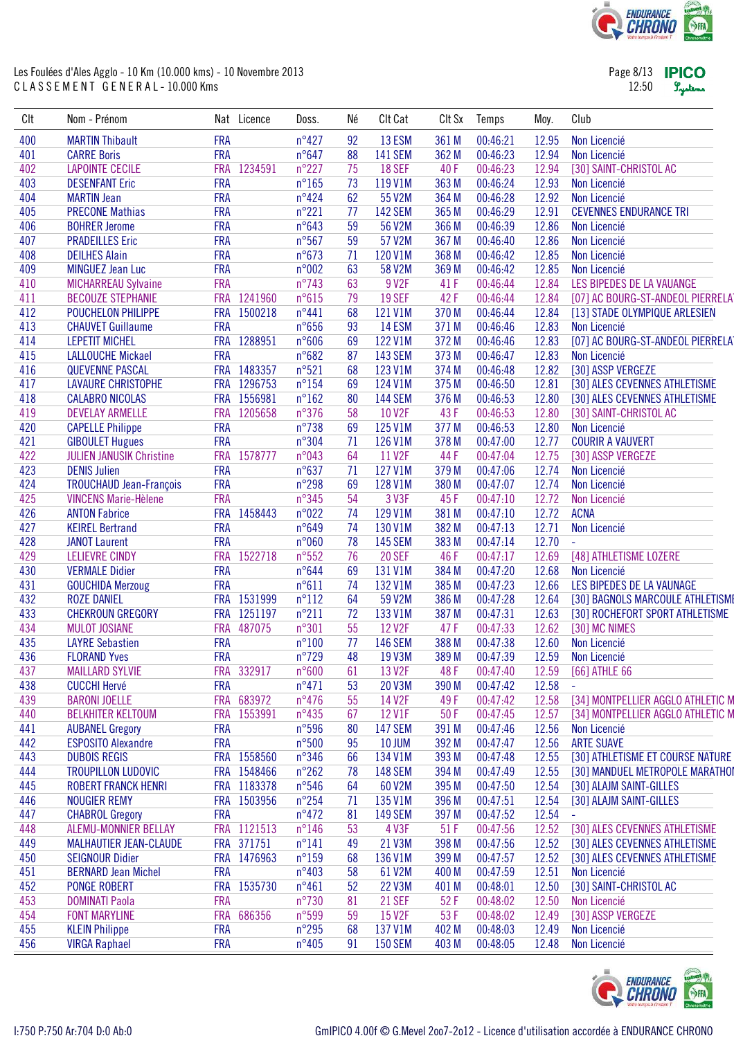

Page 8/13 **IPICO** 12:50 Lystems

| Clt        | Nom - Prénom                                  |            | Nat Licence | Doss.          | Né | Clt Cat        | CIt Sx | Temps    | Moy.           | Club                              |
|------------|-----------------------------------------------|------------|-------------|----------------|----|----------------|--------|----------|----------------|-----------------------------------|
| 400        | <b>MARTIN Thibault</b>                        | <b>FRA</b> |             | $n^{\circ}427$ | 92 | 13 ESM         | 361 M  | 00:46:21 | 12.95          | Non Licencié                      |
| 401        | <b>CARRE Boris</b>                            | <b>FRA</b> |             | $n^{\circ}647$ | 88 | <b>141 SEM</b> | 362 M  | 00:46:23 | 12.94          | Non Licencié                      |
| 402        | <b>LAPOINTE CECILE</b>                        | <b>FRA</b> | 1234591     | $n^{\circ}227$ | 75 | <b>18 SEF</b>  | 40F    | 00:46:23 | 12.94          | [30] SAINT-CHRISTOL AC            |
| 403        | <b>DESENFANT Eric</b>                         | <b>FRA</b> |             | $n^{\circ}165$ | 73 | 119 V1M        | 363 M  | 00:46:24 | 12.93          | Non Licencié                      |
| 404        | <b>MARTIN Jean</b>                            | <b>FRA</b> |             | $n^{\circ}424$ | 62 | 55 V2M         | 364 M  | 00:46:28 | 12.92          | Non Licencié                      |
| 405        | <b>PRECONE Mathias</b>                        | <b>FRA</b> |             | $n^{\circ}221$ | 77 | <b>142 SEM</b> | 365 M  | 00:46:29 | 12.91          | <b>CEVENNES ENDURANCE TRI</b>     |
| 406        | <b>BOHRER Jerome</b>                          | <b>FRA</b> |             | n°643          | 59 | 56 V2M         | 366 M  | 00:46:39 | 12.86          | Non Licencié                      |
| 407        | <b>PRADEILLES Eric</b>                        | <b>FRA</b> |             | n°567          | 59 | 57 V2M         | 367 M  | 00:46:40 | 12.86          | Non Licencié                      |
| 408        | <b>DEILHES Alain</b>                          | <b>FRA</b> |             | $n^{\circ}673$ | 71 | 120 V1M        | 368 M  | 00:46:42 | 12.85          | Non Licencié                      |
| 409        | <b>MINGUEZ Jean Luc</b>                       | <b>FRA</b> |             | n°002          | 63 | 58 V2M         | 369 M  | 00:46:42 | 12.85          | Non Licencié                      |
| 410        | <b>MICHARREAU Sylvaine</b>                    | <b>FRA</b> |             | $n^{\circ}743$ | 63 | 9 V2F          | 41 F   | 00:46:44 | 12.84          | LES BIPEDES DE LA VAUANGE         |
| 411        | <b>BECOUZE STEPHANIE</b>                      | <b>FRA</b> | 1241960     | $n^{\circ}615$ | 79 | <b>19 SEF</b>  | 42F    | 00:46:44 | 12.84          | [07] AC BOURG-ST-ANDEOL PIERRELAT |
| 412        | POUCHELON PHILIPPE                            | <b>FRA</b> | 1500218     | $n^{\circ}441$ | 68 | 121 V1M        | 370 M  | 00:46:44 | 12.84          | [13] STADE OLYMPIQUE ARLESIEN     |
| 413        | <b>CHAUVET Guillaume</b>                      | <b>FRA</b> |             | $n^{\circ}656$ | 93 | <b>14 ESM</b>  | 371 M  | 00:46:46 | 12.83          | Non Licencié                      |
| 414        | <b>LEPETIT MICHEL</b>                         |            | FRA 1288951 | $n^{\circ}606$ | 69 | 122 V1M        | 372 M  | 00:46:46 | 12.83          | [07] AC BOURG-ST-ANDEOL PIERRELAT |
| 415        | <b>LALLOUCHE Mickael</b>                      | <b>FRA</b> |             | $n^{\circ}682$ | 87 | <b>143 SEM</b> | 373 M  | 00:46:47 | 12.83          | Non Licencié                      |
| 416        | <b>QUEVENNE PASCAL</b>                        |            | FRA 1483357 | n°521          | 68 | 123 V1M        | 374 M  | 00:46:48 | 12.82          | [30] ASSP VERGEZE                 |
| 417        | <b>LAVAURE CHRISTOPHE</b>                     |            | FRA 1296753 | $n^{\circ}154$ | 69 | 124 V1M        | 375 M  | 00:46:50 | 12.81          | [30] ALES CEVENNES ATHLETISME     |
| 418        | <b>CALABRO NICOLAS</b>                        |            | FRA 1556981 | $n^{\circ}162$ | 80 | <b>144 SEM</b> | 376 M  | 00:46:53 | 12.80          | [30] ALES CEVENNES ATHLETISME     |
| 419        | <b>DEVELAY ARMELLE</b>                        | <b>FRA</b> | 1205658     | $n^{\circ}376$ | 58 | 10 V2F         | 43F    | 00:46:53 | 12.80          | [30] SAINT-CHRISTOL AC            |
| 420        | <b>CAPELLE Philippe</b>                       | <b>FRA</b> |             | $n^{\circ}738$ | 69 | 125 V1M        | 377 M  | 00:46:53 | 12.80          | Non Licencié                      |
| 421        | <b>GIBOULET Hugues</b>                        | <b>FRA</b> |             | n°304          | 71 | 126 V1M        | 378 M  | 00:47:00 | 12.77          | <b>COURIR A VAUVERT</b>           |
| 422        | <b>JULIEN JANUSIK Christine</b>               | <b>FRA</b> | 1578777     | n°043          | 64 | 11 V2F         | 44 F   | 00:47:04 | 12.75          | [30] ASSP VERGEZE                 |
| 423        | <b>DENIS Julien</b>                           | <b>FRA</b> |             | $n^{\circ}637$ | 71 | 127 V1M        | 379 M  | 00:47:06 | 12.74          | Non Licencié                      |
| 424        | <b>TROUCHAUD Jean-François</b>                | <b>FRA</b> |             | $n^{\circ}298$ | 69 | 128 V1M        | 380 M  | 00:47:07 | 12.74          | Non Licencié                      |
| 425        | <b>VINCENS Marie-Hèlene</b>                   | <b>FRA</b> |             | n°345          | 54 | 3 V3F          | 45F    | 00:47:10 | 12.72          | Non Licencié                      |
| 426        | <b>ANTON Fabrice</b>                          | <b>FRA</b> | 1458443     | n°022          | 74 | 129 V1M        | 381 M  | 00:47:10 | 12.72          | <b>ACNA</b>                       |
| 427        | <b>KEIREL Bertrand</b>                        | <b>FRA</b> |             | n°649          | 74 | 130 V1M        | 382 M  | 00:47:13 | 12.71          | Non Licencié                      |
| 428        | <b>JANOT Laurent</b>                          | <b>FRA</b> |             | n°060          | 78 | <b>145 SEM</b> | 383 M  | 00:47:14 | 12.70          | L,                                |
| 429        | <b>LELIEVRE CINDY</b>                         | <b>FRA</b> | 1522718     | $n^{\circ}552$ | 76 | <b>20 SEF</b>  | 46 F   | 00:47:17 | 12.69          | [48] ATHLETISME LOZERE            |
| 430        | <b>VERMALE Didier</b>                         | <b>FRA</b> |             | n°644          | 69 | 131 V1M        | 384 M  | 00:47:20 | 12.68          | Non Licencié                      |
| 431        |                                               | <b>FRA</b> |             | $n^{\circ}611$ | 74 | 132 V1M        | 385 M  | 00:47:23 | 12.66          | LES BIPEDES DE LA VAUNAGE         |
| 432        | <b>GOUCHIDA Merzoug</b><br><b>ROZE DANIEL</b> |            | FRA 1531999 | $n^{\circ}112$ | 64 | 59 V2M         | 386 M  | 00:47:28 | 12.64          | [30] BAGNOLS MARCOULE ATHLETISME  |
| 433        | <b>CHEKROUN GREGORY</b>                       | <b>FRA</b> | 1251197     | $n^{\circ}211$ | 72 | 133 V1M        | 387 M  | 00:47:31 | 12.63          | [30] ROCHEFORT SPORT ATHLETISME   |
|            |                                               | <b>FRA</b> | 487075      | $n^{\circ}301$ | 55 | 12 V2F         | 47F    |          | 12.62          |                                   |
| 434<br>435 | <b>MULOT JOSIANE</b>                          | <b>FRA</b> |             | $n^{\circ}100$ | 77 |                | 388 M  | 00:47:33 |                | [30] MC NIMES                     |
| 436        | <b>LAYRE Sebastien</b>                        | <b>FRA</b> |             | $n^{\circ}729$ | 48 | <b>146 SEM</b> | 389 M  | 00:47:38 | 12.60<br>12.59 | Non Licencié                      |
|            | <b>FLORAND Yves</b>                           |            |             |                |    | 19 V3M         |        | 00:47:39 |                | Non Licencié                      |
| 437        | <b>MAILLARD SYLVIE</b>                        |            | FRA 332917  | $n^{\circ}600$ | 61 | 13 V2F         | 48F    | 00:47:40 | 12.59          | [66] ATHLE 66                     |
| 438        | <b>CUCCHI Hervé</b>                           | <b>FRA</b> |             | $n^{\circ}471$ | 53 | 20 V3M         | 390 M  | 00:47:42 | 12.58          | ä,                                |
| 439        | <b>BARONI JOELLE</b>                          |            | FRA 683972  | $n^{\circ}476$ | 55 | 14 V2F         | 49F    | 00:47:42 | 12.58          | [34] MONTPELLIER AGGLO ATHLETIC M |
| 440        | <b>BELKHITER KELTOUM</b>                      | <b>FRA</b> | 1553991     | $n^{\circ}435$ | 67 | 12 V1F         | 50F    | 00:47:45 | 12.57          | [34] MONTPELLIER AGGLO ATHLETIC M |
| 441        | <b>AUBANEL Gregory</b>                        | <b>FRA</b> |             | $n^{\circ}596$ | 80 | <b>147 SEM</b> | 391 M  | 00:47:46 | 12.56          | Non Licencié                      |
| 442        | <b>ESPOSITO Alexandre</b>                     | <b>FRA</b> |             | $n^{\circ}500$ | 95 | 10 JUM         | 392 M  | 00:47:47 | 12.56          | <b>ARTE SUAVE</b>                 |
| 443        | <b>DUBOIS REGIS</b>                           | <b>FRA</b> | 1558560     | $n^{\circ}346$ | 66 | 134 V1M        | 393 M  | 00:47:48 | 12.55          | [30] ATHLETISME ET COURSE NATURE  |
| 444        | <b>TROUPILLON LUDOVIC</b>                     |            | FRA 1548466 | $n^{\circ}262$ | 78 | <b>148 SEM</b> | 394 M  | 00:47:49 | 12.55          | [30] MANDUEL METROPOLE MARATHOI   |
| 445        | <b>ROBERT FRANCK HENRI</b>                    |            | FRA 1183378 | $n^{\circ}546$ | 64 | 60 V2M         | 395 M  | 00:47:50 | 12.54          | [30] ALAJM SAINT-GILLES           |
| 446        | <b>NOUGIER REMY</b>                           | <b>FRA</b> | 1503956     | $n^{\circ}254$ | 71 | 135 V1M        | 396 M  | 00:47:51 | 12.54          | [30] ALAJM SAINT-GILLES           |
| 447        | <b>CHABROL Gregory</b>                        | <b>FRA</b> |             | $n^{\circ}472$ | 81 | <b>149 SEM</b> | 397 M  | 00:47:52 | 12.54          | ÷,                                |
| 448        | ALEMU-MONNIER BELLAY                          |            | FRA 1121513 | $n^{\circ}146$ | 53 | 4 V3F          | 51 F   | 00:47:56 | 12.52          | [30] ALES CEVENNES ATHLETISME     |
| 449        | <b>MALHAUTIER JEAN-CLAUDE</b>                 |            | FRA 371751  | $n^{\circ}141$ | 49 | 21 V3M         | 398 M  | 00:47:56 | 12.52          | [30] ALES CEVENNES ATHLETISME     |
| 450        | <b>SEIGNOUR Didier</b>                        | <b>FRA</b> | 1476963     | $n^{\circ}159$ | 68 | 136 V1M        | 399 M  | 00:47:57 | 12.52          | [30] ALES CEVENNES ATHLETISME     |
| 451        | <b>BERNARD Jean Michel</b>                    | <b>FRA</b> |             | $n^{\circ}403$ | 58 | 61 V2M         | 400 M  | 00:47:59 | 12.51          | Non Licencié                      |
| 452        | <b>PONGE ROBERT</b>                           | <b>FRA</b> | 1535730     | $n^{\circ}461$ | 52 | 22 V3M         | 401 M  | 00:48:01 | 12.50          | [30] SAINT-CHRISTOL AC            |
| 453        | <b>DOMINATI Paola</b>                         | <b>FRA</b> |             | $n^{\circ}730$ | 81 | 21 SEF         | 52F    | 00:48:02 | 12.50          | Non Licencié                      |
| 454        | <b>FONT MARYLINE</b>                          | <b>FRA</b> | 686356      | n°599          | 59 | 15 V2F         | 53 F   | 00:48:02 | 12.49          | [30] ASSP VERGEZE                 |
| 455        | <b>KLEIN Philippe</b>                         | <b>FRA</b> |             | $n^{\circ}295$ | 68 | 137 V1M        | 402 M  | 00:48:03 | 12.49          | Non Licencié                      |
| 456        | <b>VIRGA Raphael</b>                          | <b>FRA</b> |             | $n^{\circ}405$ | 91 | <b>150 SEM</b> | 403 M  | 00:48:05 | 12.48          | Non Licencié                      |

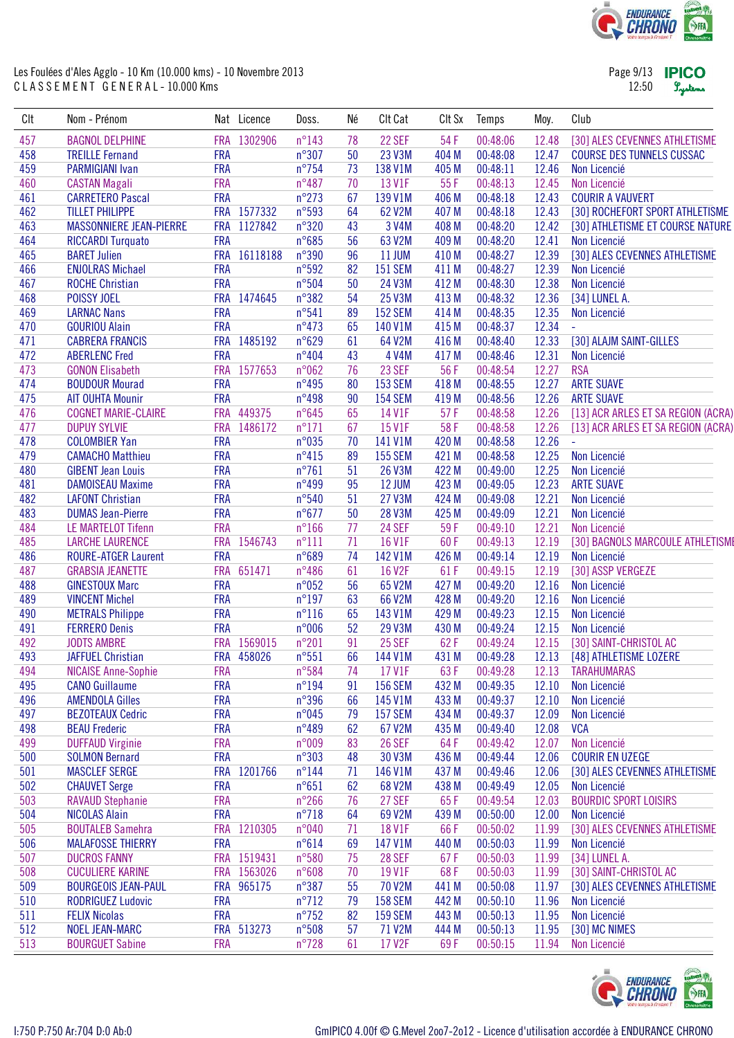

Page 9/13 **IPICO** 12:50 Lystems

| CIt | Nom - Prénom                   |            | Nat Licence | Doss.           | Né | Clt Cat        | CIt Sx | Temps    | Moy.  | Club                               |
|-----|--------------------------------|------------|-------------|-----------------|----|----------------|--------|----------|-------|------------------------------------|
| 457 | <b>BAGNOL DELPHINE</b>         | <b>FRA</b> | 1302906     | $n^{\circ}143$  | 78 | 22 SEF         | 54 F   | 00:48:06 | 12.48 | [30] ALES CEVENNES ATHLETISME      |
| 458 | <b>TREILLE Fernand</b>         | <b>FRA</b> |             | $n^{\circ}307$  | 50 | 23 V3M         | 404 M  | 00:48:08 | 12.47 | <b>COURSE DES TUNNELS CUSSAC</b>   |
| 459 | <b>PARMIGIANI Ivan</b>         | <b>FRA</b> |             | $n^{\circ}$ 754 | 73 | 138 V1M        | 405 M  | 00:48:11 | 12.46 | Non Licencié                       |
| 460 | <b>CASTAN Magali</b>           | <b>FRA</b> |             | $n^{\circ}487$  | 70 | 13 V1F         | 55F    | 00:48:13 | 12.45 | Non Licencié                       |
| 461 | <b>CARRETERO Pascal</b>        | <b>FRA</b> |             | $n^{\circ}273$  | 67 | 139 V1M        | 406 M  | 00:48:18 | 12.43 | <b>COURIR A VAUVERT</b>            |
| 462 | <b>TILLET PHILIPPE</b>         |            | FRA 1577332 | n°593           | 64 | 62 V2M         | 407 M  | 00:48:18 | 12.43 | [30] ROCHEFORT SPORT ATHLETISME    |
| 463 | <b>MASSONNIERE JEAN-PIERRE</b> |            | FRA 1127842 | $n^{\circ}320$  | 43 | 3 V4M          | 408 M  | 00:48:20 | 12.42 | [30] ATHLETISME ET COURSE NATURE   |
| 464 | <b>RICCARDI Turquato</b>       | <b>FRA</b> |             | $n^{\circ}685$  | 56 | 63 V2M         | 409 M  | 00:48:20 | 12.41 | Non Licencié                       |
| 465 | <b>BARET Julien</b>            | <b>FRA</b> | 16118188    | $n^{\circ}390$  | 96 | <b>11 JUM</b>  | 410 M  | 00:48:27 | 12.39 | [30] ALES CEVENNES ATHLETISME      |
| 466 | <b>ENJOLRAS Michael</b>        | <b>FRA</b> |             | n°592           | 82 | <b>151 SEM</b> | 411 M  | 00:48:27 | 12.39 | Non Licencié                       |
| 467 | <b>ROCHE Christian</b>         | <b>FRA</b> |             | $n^{\circ}504$  | 50 | 24 V3M         | 412 M  | 00:48:30 | 12.38 | Non Licencié                       |
| 468 | POISSY JOEL                    |            | FRA 1474645 | $n^{\circ}382$  | 54 | 25 V3M         | 413 M  | 00:48:32 | 12.36 | [34] LUNEL A.                      |
| 469 | <b>LARNAC Nans</b>             | <b>FRA</b> |             | $n^{\circ}541$  | 89 | <b>152 SEM</b> | 414 M  | 00:48:35 | 12.35 | Non Licencié                       |
| 470 | <b>GOURIOU Alain</b>           | <b>FRA</b> |             | $n^{\circ}473$  | 65 | 140 V1M        | 415 M  | 00:48:37 | 12.34 |                                    |
| 471 | <b>CABRERA FRANCIS</b>         |            | FRA 1485192 | $n^{\circ}629$  | 61 | 64 V2M         | 416 M  | 00:48:40 | 12.33 | [30] ALAJM SAINT-GILLES            |
| 472 | <b>ABERLENC Fred</b>           | <b>FRA</b> |             | $n^{\circ}404$  | 43 | 4 V4M          | 417 M  | 00:48:46 | 12.31 | Non Licencié                       |
| 473 | <b>GONON Elisabeth</b>         | <b>FRA</b> | 1577653     | n°062           | 76 | 23 SEF         | 56 F   | 00:48:54 | 12.27 | <b>RSA</b>                         |
| 474 | <b>BOUDOUR Mourad</b>          | <b>FRA</b> |             | n°495           | 80 | <b>153 SEM</b> | 418 M  | 00:48:55 | 12.27 | <b>ARTE SUAVE</b>                  |
| 475 | <b>AIT OUHTA Mounir</b>        | <b>FRA</b> |             | n°498           | 90 | <b>154 SEM</b> | 419 M  | 00:48:56 | 12.26 | <b>ARTE SUAVE</b>                  |
| 476 | <b>COGNET MARIE-CLAIRE</b>     |            | FRA 449375  | $n^{\circ}645$  | 65 | 14 V1F         | 57F    | 00:48:58 | 12.26 | [13] ACR ARLES ET SA REGION (ACRA) |
| 477 | <b>DUPUY SYLVIE</b>            | <b>FRA</b> | 1486172     | $n^{\circ}171$  | 67 | 15 V1F         | 58F    | 00:48:58 | 12.26 | [13] ACR ARLES ET SA REGION (ACRA) |
| 478 | <b>COLOMBIER Yan</b>           | <b>FRA</b> |             | n°035           | 70 | 141 V1M        | 420 M  | 00:48:58 | 12.26 | ÷.                                 |
| 479 | <b>CAMACHO Matthieu</b>        | <b>FRA</b> |             | $n^{\circ}415$  | 89 | <b>155 SEM</b> | 421 M  | 00:48:58 | 12.25 | Non Licencié                       |
| 480 | <b>GIBENT Jean Louis</b>       | <b>FRA</b> |             | $n^{\circ}761$  | 51 | 26 V3M         | 422 M  | 00:49:00 | 12.25 | Non Licencié                       |
| 481 | <b>DAMOISEAU Maxime</b>        | <b>FRA</b> |             | n°499           | 95 | 12 JUM         | 423 M  | 00:49:05 | 12.23 | <b>ARTE SUAVE</b>                  |
| 482 | <b>LAFONT Christian</b>        | <b>FRA</b> |             | $n^{\circ}540$  | 51 | 27 V3M         | 424 M  | 00:49:08 | 12.21 | Non Licencié                       |
| 483 | <b>DUMAS Jean-Pierre</b>       | <b>FRA</b> |             | $n^{\circ}677$  | 50 | 28 V3M         | 425 M  | 00:49:09 | 12.21 | Non Licencié                       |
| 484 | <b>LE MARTELOT Tifenn</b>      | <b>FRA</b> |             | $n^{\circ}166$  | 77 | 24 SEF         | 59F    | 00:49:10 | 12.21 | Non Licencié                       |
| 485 | <b>LARCHE LAURENCE</b>         | <b>FRA</b> | 1546743     | $n^{\circ}111$  | 71 | <b>16 V1F</b>  | 60F    | 00:49:13 | 12.19 | [30] BAGNOLS MARCOULE ATHLETISME   |
| 486 | <b>ROURE-ATGER Laurent</b>     | <b>FRA</b> |             | n°689           | 74 | 142 V1M        | 426 M  | 00:49:14 | 12.19 | Non Licencié                       |
| 487 | <b>GRABSIA JEANETTE</b>        | <b>FRA</b> | 651471      | $n^{\circ}486$  | 61 | <b>16 V2F</b>  | 61F    | 00:49:15 | 12.19 | [30] ASSP VERGEZE                  |
| 488 | <b>GINESTOUX Marc</b>          | <b>FRA</b> |             | n°052           | 56 | 65 V2M         | 427 M  | 00:49:20 | 12.16 | Non Licencié                       |
| 489 | <b>VINCENT Michel</b>          | <b>FRA</b> |             | $n^{\circ}197$  | 63 | 66 V2M         | 428 M  | 00:49:20 | 12.16 | Non Licencié                       |
| 490 | <b>METRALS Philippe</b>        | <b>FRA</b> |             | $n^{\circ}116$  | 65 | 143 V1M        | 429 M  | 00:49:23 | 12.15 | Non Licencié                       |
| 491 | <b>FERRERO Denis</b>           | <b>FRA</b> |             | n°006           | 52 | 29 V3M         | 430 M  | 00:49:24 | 12.15 | Non Licencié                       |
| 492 | <b>JODTS AMBRE</b>             | <b>FRA</b> | 1569015     | $n^{\circ}201$  | 91 | 25 SEF         | 62F    | 00:49:24 | 12.15 | [30] SAINT-CHRISTOL AC             |
| 493 | <b>JAFFUEL Christian</b>       |            | FRA 458026  | $n^{\circ}551$  | 66 | 144 V1M        | 431 M  | 00:49:28 | 12.13 | [48] ATHLETISME LOZERE             |
| 494 | <b>NICAISE Anne-Sophie</b>     | <b>FRA</b> |             | n°584           | 74 | 17 V1F         | 63F    | 00:49:28 | 12.13 | <b>TARAHUMARAS</b>                 |
| 495 | <b>CANO Guillaume</b>          | <b>FRA</b> |             | $n^{\circ}194$  | 91 | <b>156 SEM</b> | 432 M  | 00:49:35 | 12.10 | Non Licencié                       |
| 496 | <b>AMENDOLA Gilles</b>         | <b>FRA</b> |             | n°396           | 66 | 145 V1M        | 433 M  | 00:49:37 | 12.10 | Non Licencié                       |
| 497 | <b>BEZOTEAUX Cedric</b>        | <b>FRA</b> |             | n°045           | 79 | <b>157 SEM</b> | 434 M  | 00:49:37 | 12.09 | Non Licencié                       |
| 498 | <b>BEAU Frederic</b>           | <b>FRA</b> |             | n°489           | 62 | 67 V2M         | 435 M  | 00:49:40 | 12.08 | <b>VCA</b>                         |
| 499 | <b>DUFFAUD Virginie</b>        | <b>FRA</b> |             | n°009           | 83 | <b>26 SEF</b>  | 64F    | 00:49:42 | 12.07 | Non Licencié                       |
| 500 | <b>SOLMON Bernard</b>          | <b>FRA</b> |             | $n^{\circ}303$  | 48 | 30 V3M         | 436 M  | 00:49:44 | 12.06 | <b>COURIR EN UZEGE</b>             |
| 501 | <b>MASCLEF SERGE</b>           | <b>FRA</b> | 1201766     | $n^{\circ}$ 144 | 71 | 146 V1M        | 437 M  | 00:49:46 | 12.06 | [30] ALES CEVENNES ATHLETISME      |
| 502 | <b>CHAUVET Serge</b>           | <b>FRA</b> |             | $n^{\circ}651$  | 62 | 68 V2M         | 438 M  | 00:49:49 | 12.05 | Non Licencié                       |
| 503 | <b>RAVAUD Stephanie</b>        | <b>FRA</b> |             | $n^{\circ}266$  | 76 | 27 SEF         | 65F    | 00:49:54 | 12.03 | <b>BOURDIC SPORT LOISIRS</b>       |
| 504 | <b>NICOLAS Alain</b>           | <b>FRA</b> |             | $n^{\circ}718$  | 64 | 69 V2M         | 439 M  | 00:50:00 | 12.00 | Non Licencié                       |
| 505 | <b>BOUTALEB Samehra</b>        | <b>FRA</b> | 1210305     | n°040           | 71 | 18 V1F         | 66F    | 00:50:02 | 11.99 | [30] ALES CEVENNES ATHLETISME      |
| 506 | <b>MALAFOSSE THIERRY</b>       | <b>FRA</b> |             | $n^{\circ}614$  | 69 | 147 V1M        | 440 M  | 00:50:03 | 11.99 | Non Licencié                       |
| 507 | <b>DUCROS FANNY</b>            |            | FRA 1519431 | $n^{\circ}580$  | 75 | <b>28 SEF</b>  | 67F    | 00:50:03 | 11.99 | [34] LUNEL A.                      |
| 508 | <b>CUCULIERE KARINE</b>        |            | FRA 1563026 | n°608           | 70 | 19 V1F         | 68F    | 00:50:03 | 11.99 | [30] SAINT-CHRISTOL AC             |
| 509 | <b>BOURGEOIS JEAN-PAUL</b>     |            | FRA 965175  | n°387           | 55 | 70 V2M         | 441 M  | 00:50:08 | 11.97 | [30] ALES CEVENNES ATHLETISME      |
| 510 | <b>RODRIGUEZ Ludovic</b>       | <b>FRA</b> |             | $n^{\circ}712$  | 79 | <b>158 SEM</b> | 442 M  | 00:50:10 | 11.96 | Non Licencié                       |
| 511 | <b>FELIX Nicolas</b>           | <b>FRA</b> |             | $n^{\circ}752$  | 82 | <b>159 SEM</b> | 443 M  | 00:50:13 | 11.95 | Non Licencié                       |
| 512 | <b>NOEL JEAN-MARC</b>          | <b>FRA</b> | 513273      | $n^{\circ}508$  | 57 | 71 V2M         | 444 M  | 00:50:13 | 11.95 | [30] MC NIMES                      |
| 513 | <b>BOURGUET Sabine</b>         | <b>FRA</b> |             | $n^{\circ}728$  | 61 | 17 V2F         | 69F    | 00:50:15 | 11.94 | Non Licencié                       |
|     |                                |            |             |                 |    |                |        |          |       |                                    |

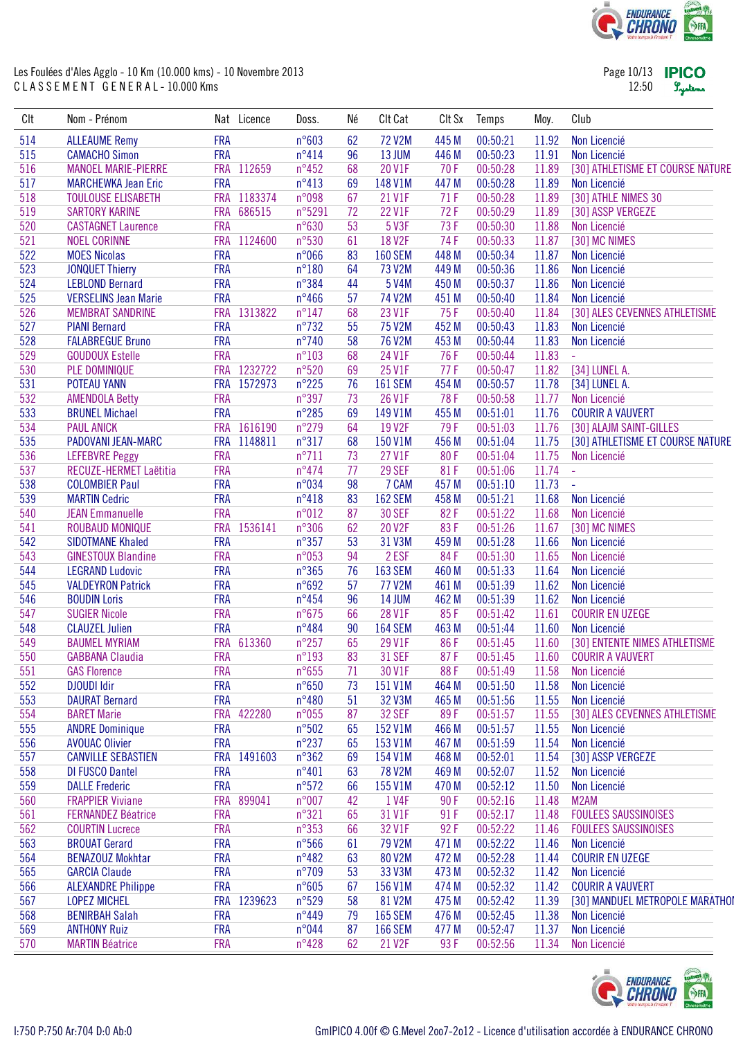![](_page_9_Picture_0.jpeg)

Page 10/13 **IPICO** 12:50 Lystems

| Clt | Nom - Prénom                               |            | Nat Licence | Doss.           | Né | Clt Cat        | Clt Sx | Temps    | Moy.  | Club                             |
|-----|--------------------------------------------|------------|-------------|-----------------|----|----------------|--------|----------|-------|----------------------------------|
| 514 | <b>ALLEAUME Remy</b>                       | <b>FRA</b> |             | n°603           | 62 | <b>72 V2M</b>  | 445 M  | 00:50:21 | 11.92 | Non Licencié                     |
| 515 | <b>CAMACHO Simon</b>                       | <b>FRA</b> |             | $n^{\circ}414$  | 96 | 13 JUM         | 446 M  | 00:50:23 | 11.91 | Non Licencié                     |
| 516 | <b>MANOEL MARIE-PIERRE</b>                 |            | FRA 112659  | $n^{\circ}452$  | 68 | 20 V1F         | 70F    | 00:50:28 | 11.89 | [30] ATHLETISME ET COURSE NATURE |
| 517 | <b>MARCHEWKA Jean Eric</b>                 | <b>FRA</b> |             | n°413           | 69 | 148 V1M        | 447 M  | 00:50:28 | 11.89 | Non Licencié                     |
| 518 | <b>TOULOUSE ELISABETH</b>                  |            | FRA 1183374 | n°098           | 67 | 21 V1F         | 71F    | 00:50:28 | 11.89 | [30] ATHLE NIMES 30              |
| 519 | <b>SARTORY KARINE</b>                      |            | FRA 686515  | n°5291          | 72 | 22 V1F         | 72F    | 00:50:29 | 11.89 | [30] ASSP VERGEZE                |
| 520 | <b>CASTAGNET Laurence</b>                  | <b>FRA</b> |             | $n^{\circ}630$  | 53 | 5 V3F          | 73F    | 00:50:30 | 11.88 | Non Licencié                     |
| 521 | <b>NOEL CORINNE</b>                        |            | FRA 1124600 | n°530           | 61 | <b>18 V2F</b>  | 74F    | 00:50:33 | 11.87 | [30] MC NIMES                    |
| 522 | <b>MOES Nicolas</b>                        | <b>FRA</b> |             | n°066           | 83 | <b>160 SEM</b> | 448 M  | 00:50:34 | 11.87 | Non Licencié                     |
| 523 | <b>JONQUET Thierry</b>                     | <b>FRA</b> |             | $n^{\circ}180$  | 64 | 73 V2M         | 449 M  | 00:50:36 | 11.86 | Non Licencié                     |
| 524 | <b>LEBLOND Bernard</b>                     | <b>FRA</b> |             | n°384           | 44 | 5 V4M          | 450 M  | 00:50:37 | 11.86 | Non Licencié                     |
| 525 | <b>VERSELINS Jean Marie</b>                | <b>FRA</b> |             | $n^{\circ}466$  | 57 | 74 V2M         | 451 M  | 00:50:40 | 11.84 | Non Licencié                     |
| 526 | <b>MEMBRAT SANDRINE</b>                    |            | FRA 1313822 | $n^{\circ}$ 147 | 68 | 23 V1F         | 75F    | 00:50:40 | 11.84 | [30] ALES CEVENNES ATHLETISME    |
| 527 | <b>PIANI Bernard</b>                       | <b>FRA</b> |             | $n^{\circ}732$  | 55 | 75 V2M         | 452 M  | 00:50:43 | 11.83 | Non Licencié                     |
| 528 | <b>FALABREGUE Bruno</b>                    | <b>FRA</b> |             | $n^{\circ}$ 740 | 58 | 76 V2M         | 453 M  | 00:50:44 | 11.83 | Non Licencié                     |
| 529 | <b>GOUDOUX Estelle</b>                     | <b>FRA</b> |             | $n^{\circ}103$  | 68 | 24 V1F         | 76F    | 00:50:44 | 11.83 |                                  |
| 530 | PLE DOMINIQUE                              |            | FRA 1232722 | $n^{\circ}520$  | 69 | 25 V1F         | 77F    | 00:50:47 | 11.82 | [34] LUNEL A.                    |
| 531 | <b>POTEAU YANN</b>                         |            | FRA 1572973 | $n^{\circ}225$  | 76 | <b>161 SEM</b> | 454 M  | 00:50:57 | 11.78 | [34] LUNEL A.                    |
| 532 |                                            | <b>FRA</b> |             | n°397           | 73 | 26 V1F         | 78F    | 00:50:58 | 11.77 | Non Licencié                     |
|     | <b>AMENDOLA Betty</b>                      | <b>FRA</b> |             | $n^{\circ}285$  |    |                |        |          | 11.76 |                                  |
| 533 | <b>BRUNEL Michael</b><br><b>PAUL ANICK</b> |            |             |                 | 69 | 149 V1M        | 455 M  | 00:51:01 |       | <b>COURIR A VAUVERT</b>          |
| 534 |                                            |            | FRA 1616190 | $n^{\circ}279$  | 64 | 19 V2F         | 79F    | 00:51:03 | 11.76 | [30] ALAJM SAINT-GILLES          |
| 535 | PADOVANI JEAN-MARC                         |            | FRA 1148811 | $n^{\circ}317$  | 68 | 150 V1M        | 456 M  | 00:51:04 | 11.75 | [30] ATHLETISME ET COURSE NATURE |
| 536 | <b>LEFEBVRE Peggy</b>                      | <b>FRA</b> |             | $n^{\circ}711$  | 73 | 27 V1F         | 80F    | 00:51:04 | 11.75 | Non Licencié                     |
| 537 | RECUZE-HERMET Laëtitia                     | <b>FRA</b> |             | $n^{\circ}474$  | 77 | 29 SEF         | 81F    | 00:51:06 | 11.74 | $\omega$                         |
| 538 | <b>COLOMBIER Paul</b>                      | <b>FRA</b> |             | n°034           | 98 | 7 CAM          | 457 M  | 00:51:10 | 11.73 | $\Box$                           |
| 539 | <b>MARTIN Cedric</b>                       | <b>FRA</b> |             | n°418           | 83 | <b>162 SEM</b> | 458 M  | 00:51:21 | 11.68 | Non Licencié                     |
| 540 | <b>JEAN Emmanuelle</b>                     | <b>FRA</b> |             | n°012           | 87 | <b>30 SEF</b>  | 82F    | 00:51:22 | 11.68 | Non Licencié                     |
| 541 | ROUBAUD MONIQUE                            | <b>FRA</b> | 1536141     | n°306           | 62 | 20 V2F         | 83F    | 00:51:26 | 11.67 | [30] MC NIMES                    |
| 542 | <b>SIDOTMANE Khaled</b>                    | <b>FRA</b> |             | $n^{\circ}357$  | 53 | 31 V3M         | 459 M  | 00:51:28 | 11.66 | Non Licencié                     |
| 543 | <b>GINESTOUX Blandine</b>                  | <b>FRA</b> |             | n°053           | 94 | 2 ESF          | 84F    | 00:51:30 | 11.65 | Non Licencié                     |
| 544 | <b>LEGRAND Ludovic</b>                     | <b>FRA</b> |             | $n^{\circ}365$  | 76 | <b>163 SEM</b> | 460 M  | 00:51:33 | 11.64 | Non Licencié                     |
| 545 | <b>VALDEYRON Patrick</b>                   | <b>FRA</b> |             | n°692           | 57 | 77 V2M         | 461 M  | 00:51:39 | 11.62 | Non Licencié                     |
| 546 | <b>BOUDIN Loris</b>                        | <b>FRA</b> |             | $n^{\circ}454$  | 96 | <b>14 JUM</b>  | 462 M  | 00:51:39 | 11.62 | Non Licencié                     |
| 547 | <b>SUGIER Nicole</b>                       | <b>FRA</b> |             | $n^{\circ}675$  | 66 | 28 V1F         | 85F    | 00:51:42 | 11.61 | <b>COURIR EN UZEGE</b>           |
| 548 | <b>CLAUZEL Julien</b>                      | <b>FRA</b> |             | $n^{\circ}484$  | 90 | <b>164 SEM</b> | 463 M  | 00:51:44 | 11.60 | Non Licencié                     |
| 549 | <b>BAUMEL MYRIAM</b>                       | <b>FRA</b> | 613360      | $n^{\circ}257$  | 65 | 29 V1F         | 86F    | 00:51:45 | 11.60 | [30] ENTENTE NIMES ATHLETISME    |
| 550 | <b>GABBANA Claudia</b>                     | <b>FRA</b> |             | $n^{\circ}193$  | 83 | <b>31 SEF</b>  | 87F    | 00:51:45 | 11.60 | <b>COURIR A VAUVERT</b>          |
| 551 | <b>GAS Florence</b>                        | <b>FRA</b> |             | $n^{\circ}655$  | 71 | 30 V1F         | 88F    | 00:51:49 | 11.58 | Non Licencié                     |
| 552 | <b>DJOUDI Idir</b>                         | <b>FRA</b> |             | $n^{\circ}650$  | 73 | 151 V1M        | 464 M  | 00:51:50 | 11.58 | Non Licencié                     |
| 553 | <b>DAURAT Bernard</b>                      | <b>FRA</b> |             | $n^{\circ}480$  | 51 | 32 V3M         | 465 M  | 00:51:56 | 11.55 | Non Licencié                     |
| 554 | <b>BARET Marie</b>                         |            | FRA 422280  | n°055           | 87 | 32 SEF         | 89F    | 00:51:57 | 11.55 | [30] ALES CEVENNES ATHLETISME    |
| 555 | <b>ANDRE Dominique</b>                     | <b>FRA</b> |             | $n^{\circ}502$  | 65 | 152 V1M        | 466 M  | 00:51:57 | 11.55 | Non Licencié                     |
| 556 | <b>AVOUAC Olivier</b>                      | <b>FRA</b> |             | $n^{\circ}237$  | 65 | 153 V1M        | 467 M  | 00:51:59 | 11.54 | Non Licencié                     |
| 557 | <b>CANVILLE SEBASTIEN</b>                  | <b>FRA</b> | 1491603     | $n^{\circ}362$  | 69 | 154 V1M        | 468 M  | 00:52:01 | 11.54 | [30] ASSP VERGEZE                |
| 558 | <b>DI FUSCO Dantel</b>                     | <b>FRA</b> |             | $n^{\circ}401$  | 63 | 78 V2M         | 469 M  | 00:52:07 | 11.52 | Non Licencié                     |
| 559 | <b>DALLE</b> Frederic                      | <b>FRA</b> |             | $n^{\circ}572$  | 66 | 155 V1M        | 470 M  | 00:52:12 | 11.50 | Non Licencié                     |
| 560 | <b>FRAPPIER Viviane</b>                    | <b>FRA</b> | 899041      | n°007           | 42 | 1 V4F          | 90F    | 00:52:16 | 11.48 | M <sub>2</sub> AM                |
| 561 | <b>FERNANDEZ Béatrice</b>                  | <b>FRA</b> |             | $n^{\circ}321$  | 65 | 31 V1F         | 91F    | 00:52:17 | 11.48 | <b>FOULEES SAUSSINOISES</b>      |
| 562 | <b>COURTIN Lucrece</b>                     | <b>FRA</b> |             | $n^{\circ}353$  | 66 | 32 V1F         | 92 F   | 00:52:22 | 11.46 | <b>FOULEES SAUSSINOISES</b>      |
| 563 | <b>BROUAT Gerard</b>                       | <b>FRA</b> |             | n°566           | 61 | 79 V2M         | 471 M  | 00:52:22 | 11.46 | Non Licencié                     |
| 564 | <b>BENAZOUZ Mokhtar</b>                    | <b>FRA</b> |             | $n^{\circ}482$  | 63 | 80 V2M         | 472 M  | 00:52:28 | 11.44 | <b>COURIR EN UZEGE</b>           |
| 565 | <b>GARCIA Claude</b>                       | <b>FRA</b> |             | $n^{\circ}709$  | 53 | 33 V3M         | 473 M  | 00:52:32 | 11.42 | Non Licencié                     |
| 566 | <b>ALEXANDRE Philippe</b>                  | <b>FRA</b> |             | $n^{\circ}605$  | 67 | 156 V1M        | 474 M  | 00:52:32 | 11.42 | <b>COURIR A VAUVERT</b>          |
| 567 | <b>LOPEZ MICHEL</b>                        |            | FRA 1239623 | n°529           | 58 | 81 V2M         | 475 M  | 00:52:42 | 11.39 | [30] MANDUEL METROPOLE MARATHOI  |
| 568 | <b>BENIRBAH Salah</b>                      | <b>FRA</b> |             | $n^{\circ}449$  | 79 | <b>165 SEM</b> | 476 M  | 00:52:45 | 11.38 | Non Licencié                     |
|     |                                            | <b>FRA</b> |             | n°044           |    |                |        |          |       |                                  |
| 569 | <b>ANTHONY Ruiz</b>                        |            |             |                 | 87 | <b>166 SEM</b> | 477 M  | 00:52:47 | 11.37 | Non Licencié                     |
| 570 | <b>MARTIN Béatrice</b>                     | <b>FRA</b> |             | $n^{\circ}428$  | 62 | 21 V2F         | 93F    | 00:52:56 | 11.34 | Non Licencié                     |

![](_page_9_Picture_4.jpeg)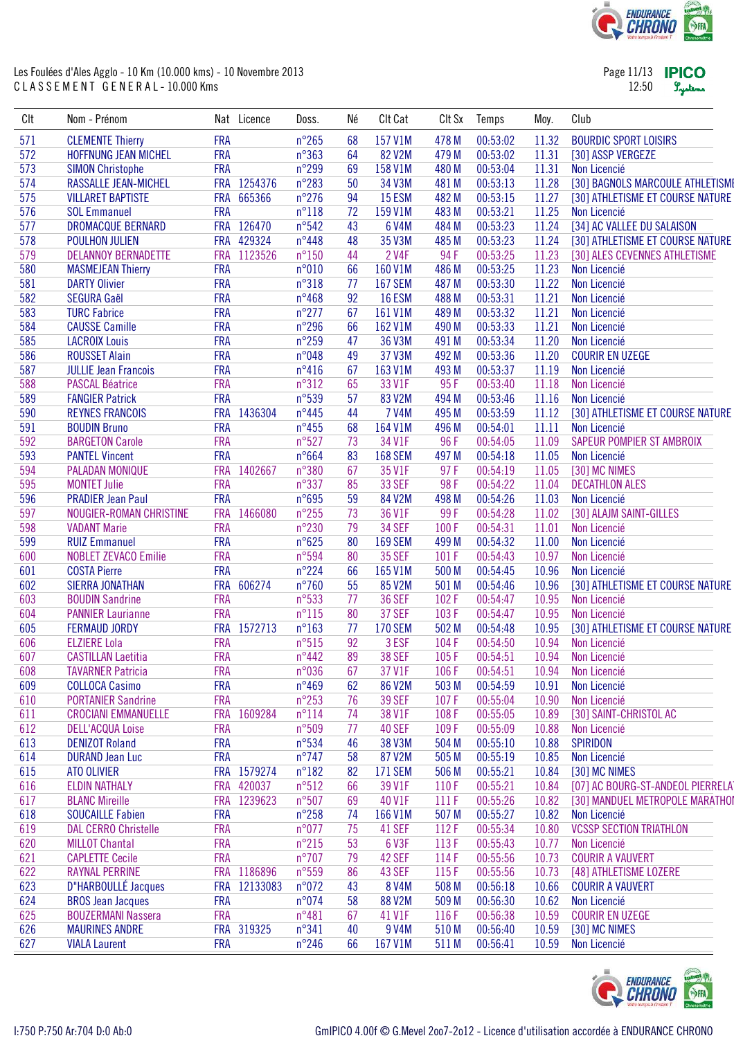![](_page_10_Picture_0.jpeg)

| Page 11/13 | <b>IPICC</b> |
|------------|--------------|
| 12:50      | Lystem       |

| CIt | Nom - Prénom                |            | Nat Licence  | Doss.           | Né | Clt Cat        | CIt Sx | Temps    | Moy.  | Club                              |
|-----|-----------------------------|------------|--------------|-----------------|----|----------------|--------|----------|-------|-----------------------------------|
| 571 | <b>CLEMENTE Thierry</b>     | <b>FRA</b> |              | $n^{\circ}265$  | 68 | 157 V1M        | 478 M  | 00:53:02 | 11.32 | <b>BOURDIC SPORT LOISIRS</b>      |
| 572 | <b>HOFFNUNG JEAN MICHEL</b> | <b>FRA</b> |              | n°363           | 64 | 82 V2M         | 479 M  | 00:53:02 | 11.31 | [30] ASSP VERGEZE                 |
| 573 | <b>SIMON Christophe</b>     | <b>FRA</b> |              | $n^{\circ}299$  | 69 | 158 V1M        | 480 M  | 00:53:04 | 11.31 | Non Licencié                      |
| 574 | RASSALLE JEAN-MICHEL        |            | FRA 1254376  | $n^{\circ}283$  | 50 | 34 V3M         | 481 M  | 00:53:13 | 11.28 | [30] BAGNOLS MARCOULE ATHLETISME  |
| 575 | <b>VILLARET BAPTISTE</b>    | <b>FRA</b> | 665366       | $n^{\circ}276$  | 94 | 15 ESM         | 482 M  | 00:53:15 | 11.27 | [30] ATHLETISME ET COURSE NATURE  |
| 576 | <b>SOL Emmanuel</b>         | <b>FRA</b> |              | $n^{\circ}118$  | 72 | 159 V1M        | 483 M  | 00:53:21 | 11.25 | Non Licencié                      |
| 577 | DROMACQUE BERNARD           |            | FRA 126470   | n°542           | 43 | 6 V4M          | 484 M  | 00:53:23 | 11.24 | [34] AC VALLEE DU SALAISON        |
| 578 | POULHON JULIEN              |            | FRA 429324   | $n^{\circ}448$  | 48 | 35 V3M         | 485 M  | 00:53:23 | 11.24 | [30] ATHLETISME ET COURSE NATURE  |
| 579 | <b>DELANNOY BERNADETTE</b>  |            | FRA 1123526  | $n^{\circ}150$  | 44 | 2 V4F          | 94F    | 00:53:25 | 11.23 | [30] ALES CEVENNES ATHLETISME     |
| 580 | <b>MASMEJEAN Thierry</b>    | <b>FRA</b> |              | n°010           | 66 | 160 V1M        | 486 M  | 00:53:25 | 11.23 | Non Licencié                      |
| 581 | <b>DARTY Olivier</b>        | <b>FRA</b> |              | $n^{\circ}318$  | 77 | <b>167 SEM</b> | 487 M  | 00:53:30 | 11.22 | Non Licencié                      |
| 582 | <b>SEGURA Gaël</b>          | <b>FRA</b> |              | $n^{\circ}468$  | 92 | <b>16 ESM</b>  | 488 M  | 00:53:31 | 11.21 | Non Licencié                      |
| 583 | <b>TURC Fabrice</b>         | <b>FRA</b> |              | $n^{\circ}277$  | 67 | 161 V1M        | 489 M  | 00:53:32 | 11.21 | Non Licencié                      |
| 584 | <b>CAUSSE Camille</b>       | <b>FRA</b> |              | $n^{\circ}296$  | 66 | 162 V1M        | 490 M  | 00:53:33 | 11.21 | Non Licencié                      |
| 585 | <b>LACROIX Louis</b>        | <b>FRA</b> |              | $n^{\circ}259$  | 47 | 36 V3M         | 491 M  | 00:53:34 | 11.20 | Non Licencié                      |
| 586 | <b>ROUSSET Alain</b>        | <b>FRA</b> |              | n°048           | 49 | 37 V3M         | 492 M  | 00:53:36 | 11.20 | <b>COURIR EN UZEGE</b>            |
| 587 | <b>JULLIE Jean Francois</b> | <b>FRA</b> |              | $n^{\circ}416$  | 67 | 163 V1M        | 493 M  | 00:53:37 | 11.19 | Non Licencié                      |
| 588 | <b>PASCAL Béatrice</b>      | <b>FRA</b> |              | $n^{\circ}312$  | 65 | 33 V1F         | 95F    | 00:53:40 | 11.18 | Non Licencié                      |
| 589 | <b>FANGIER Patrick</b>      | <b>FRA</b> |              | n°539           | 57 | 83 V2M         | 494 M  | 00:53:46 | 11.16 | Non Licencié                      |
| 590 | <b>REYNES FRANCOIS</b>      |            | FRA 1436304  | $n^{\circ}445$  | 44 | 7 V4M          | 495 M  | 00:53:59 | 11.12 | [30] ATHLETISME ET COURSE NATURE  |
| 591 | <b>BOUDIN Bruno</b>         | <b>FRA</b> |              | $n^{\circ}455$  | 68 | 164 V1M        | 496 M  | 00:54:01 | 11.11 | Non Licencié                      |
| 592 | <b>BARGETON Carole</b>      | <b>FRA</b> |              | $n^{\circ}527$  | 73 | 34 V1F         | 96F    | 00:54:05 | 11.09 | SAPEUR POMPIER ST AMBROIX         |
| 593 | <b>PANTEL Vincent</b>       | <b>FRA</b> |              | $n^{\circ}664$  | 83 | <b>168 SEM</b> | 497 M  | 00:54:18 | 11.05 | Non Licencié                      |
| 594 | PALADAN MONIQUE             |            | FRA 1402667  | n°380           | 67 | 35 V1F         | 97F    | 00:54:19 | 11.05 | [30] MC NIMES                     |
| 595 | <b>MONTET Julie</b>         | <b>FRA</b> |              | n°337           | 85 | 33 SEF         | 98F    | 00:54:22 | 11.04 | <b>DECATHLON ALES</b>             |
| 596 | <b>PRADIER Jean Paul</b>    | <b>FRA</b> |              | n°695           | 59 | 84 V2M         | 498 M  | 00:54:26 | 11.03 | Non Licencié                      |
| 597 | NOUGIER-ROMAN CHRISTINE     |            | FRA 1466080  | $n^{\circ}255$  | 73 | 36 V1F         | 99F    | 00:54:28 | 11.02 | [30] ALAJM SAINT-GILLES           |
| 598 | <b>VADANT Marie</b>         | <b>FRA</b> |              | $n^{\circ}230$  | 79 | <b>34 SEF</b>  | 100F   | 00:54:31 | 11.01 | Non Licencié                      |
| 599 | <b>RUIZ Emmanuel</b>        | <b>FRA</b> |              | $n^{\circ}625$  | 80 | <b>169 SEM</b> | 499 M  | 00:54:32 | 11.00 | Non Licencié                      |
| 600 | <b>NOBLET ZEVACO Emilie</b> | <b>FRA</b> |              | n°594           | 80 | <b>35 SEF</b>  | 101F   | 00:54:43 | 10.97 | Non Licencié                      |
| 601 | <b>COSTA Pierre</b>         | <b>FRA</b> |              | $n^{\circ}224$  | 66 | 165 V1M        | 500 M  | 00:54:45 | 10.96 | Non Licencié                      |
| 602 | <b>SIERRA JONATHAN</b>      |            | FRA 606274   | $n^{\circ}760$  | 55 | 85 V2M         | 501 M  | 00:54:46 | 10.96 | [30] ATHLETISME ET COURSE NATURE  |
| 603 | <b>BOUDIN Sandrine</b>      | <b>FRA</b> |              | $n^{\circ}533$  | 77 | <b>36 SEF</b>  | 102F   | 00:54:47 | 10.95 | Non Licencié                      |
| 604 | <b>PANNIER Laurianne</b>    | <b>FRA</b> |              | $n^{\circ}115$  | 80 | 37 SEF         | 103F   | 00:54:47 | 10.95 | Non Licencié                      |
| 605 | <b>FERMAUD JORDY</b>        |            | FRA 1572713  | $n^{\circ}163$  | 77 | <b>170 SEM</b> | 502 M  | 00:54:48 | 10.95 | [30] ATHLETISME ET COURSE NATURE  |
| 606 | <b>ELZIERE Lola</b>         | <b>FRA</b> |              | $n^{\circ}515$  | 92 | 3 ESF          | 104F   | 00:54:50 | 10.94 | Non Licencié                      |
| 607 | <b>CASTILLAN Laetitia</b>   | <b>FRA</b> |              | $n^{\circ}442$  | 89 | <b>38 SEF</b>  | 105F   | 00:54:51 | 10.94 | Non Licencié                      |
| 608 | <b>TAVARNER Patricia</b>    | <b>FRA</b> |              | n°036           | 67 | 37 V1F         | 106F   | 00:54:51 | 10.94 | Non Licencié                      |
| 609 | <b>COLLOCA Casimo</b>       | <b>FRA</b> |              | $n^{\circ}469$  | 62 | <b>86 V2M</b>  | 503 M  | 00:54:59 | 10.91 | Non Licencié                      |
| 610 | <b>PORTANIER Sandrine</b>   | <b>FRA</b> |              | $n^{\circ}253$  | 76 | <b>39 SEF</b>  | 107F   | 00:55:04 | 10.90 | Non Licencié                      |
| 611 | <b>CROCIANI EMMANUELLE</b>  | <b>FRA</b> | 1609284      | $n^{\circ}114$  | 74 | 38 V1F         | 108F   | 00:55:05 | 10.89 | [30] SAINT-CHRISTOL AC            |
| 612 | <b>DELL'ACQUA Loise</b>     | <b>FRA</b> |              | n°509           | 77 | 40 SEF         | 109F   | 00:55:09 | 10.88 | Non Licencié                      |
| 613 | <b>DENIZOT Roland</b>       | <b>FRA</b> |              | $n^{\circ}534$  | 46 | 38 V3M         | 504 M  | 00:55:10 | 10.88 | <b>SPIRIDON</b>                   |
| 614 | <b>DURAND Jean Luc</b>      | <b>FRA</b> |              | $n^{\circ}$ 747 | 58 | 87 V2M         | 505 M  | 00:55:19 | 10.85 | Non Licencié                      |
| 615 | ATO OLIVIER                 |            | FRA 1579274  | $n^{\circ}182$  | 82 | <b>171 SEM</b> | 506 M  | 00:55:21 | 10.84 | [30] MC NIMES                     |
| 616 | <b>ELDIN NATHALY</b>        |            | FRA 420037   | $n^{\circ}512$  | 66 | 39 V1F         | 110F   | 00:55:21 | 10.84 | [07] AC BOURG-ST-ANDEOL PIERRELAT |
| 617 | <b>BLANC Mireille</b>       |            | FRA 1239623  | $n^{\circ}507$  | 69 | 40 V1F         | 111F   | 00:55:26 | 10.82 | [30] MANDUEL METROPOLE MARATHOI   |
| 618 | <b>SOUCAILLE Fabien</b>     | <b>FRA</b> |              | $n^{\circ}258$  | 74 | 166 V1M        | 507 M  | 00:55:27 | 10.82 | Non Licencié                      |
| 619 | <b>DAL CERRO Christelle</b> | <b>FRA</b> |              | n°077           | 75 | 41 SEF         | 112F   | 00:55:34 | 10.80 | <b>VCSSP SECTION TRIATHLON</b>    |
| 620 | <b>MILLOT Chantal</b>       | <b>FRA</b> |              | $n^{\circ}215$  | 53 | 6 V3F          | 113 F  | 00:55:43 | 10.77 | Non Licencié                      |
| 621 | <b>CAPLETTE Cecile</b>      | <b>FRA</b> |              | $n^{\circ}707$  | 79 | 42 SEF         | 114 F  | 00:55:56 | 10.73 | <b>COURIR A VAUVERT</b>           |
| 622 | <b>RAYNAL PERRINE</b>       |            | FRA 1186896  | $n^{\circ}559$  | 86 | 43 SEF         | 115F   | 00:55:56 | 10.73 | [48] ATHLETISME LOZERE            |
| 623 | D"HARBOULLÉ Jacques         |            | FRA 12133083 | n°072           | 43 | 8 V4M          | 508 M  | 00:56:18 | 10.66 | <b>COURIR A VAUVERT</b>           |
| 624 | <b>BROS Jean Jacques</b>    | <b>FRA</b> |              | n°074           | 58 | 88 V2M         | 509 M  | 00:56:30 | 10.62 | Non Licencié                      |
| 625 | <b>BOUZERMANI Nassera</b>   | <b>FRA</b> |              | $n^{\circ}481$  | 67 | 41 V1F         | 116 F  | 00:56:38 | 10.59 | <b>COURIR EN UZEGE</b>            |
| 626 | <b>MAURINES ANDRE</b>       |            | FRA 319325   | $n^{\circ}341$  | 40 | 9 V4M          | 510 M  | 00:56:40 | 10.59 | [30] MC NIMES                     |
| 627 | <b>VIALA Laurent</b>        | <b>FRA</b> |              | $n^{\circ}246$  | 66 | 167 V1M        | 511 M  | 00:56:41 | 10.59 | Non Licencié                      |

![](_page_10_Picture_4.jpeg)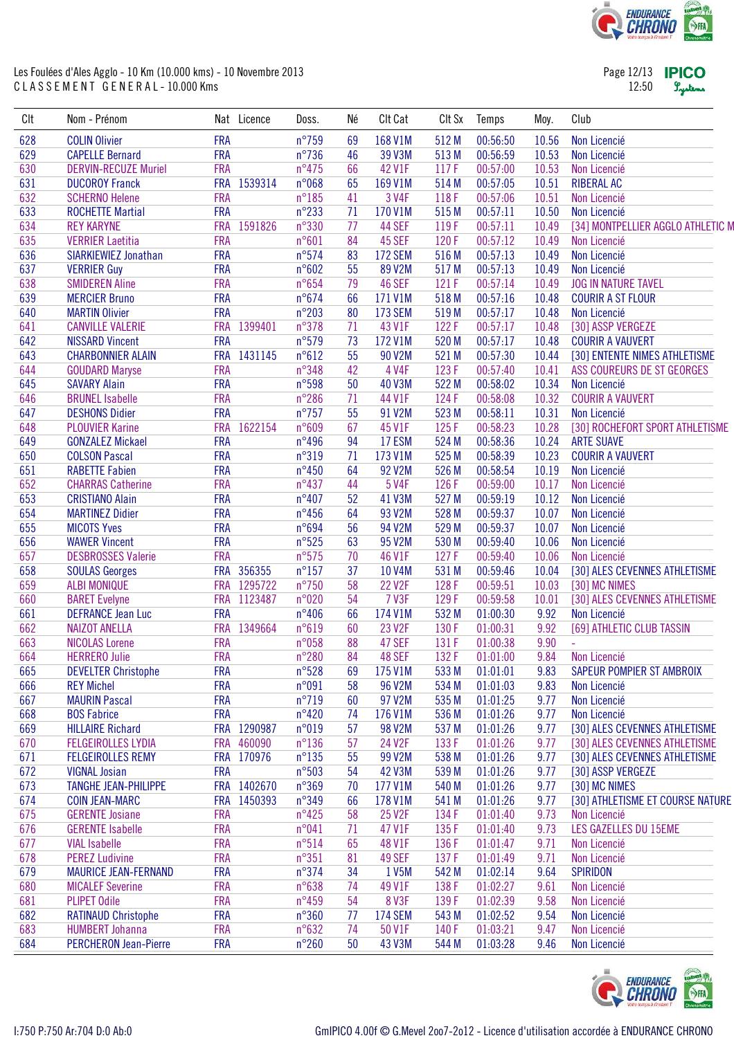![](_page_11_Picture_0.jpeg)

Page 12/13 **IPICO** 12:50 Lystems

| CIt | Nom - Prénom                 |            | Nat Licence | Doss.           | Né | Clt Cat        | CIt Sx | Temps    | Moy.  | Club                              |
|-----|------------------------------|------------|-------------|-----------------|----|----------------|--------|----------|-------|-----------------------------------|
| 628 | <b>COLIN Olivier</b>         | <b>FRA</b> |             | $n^{\circ}$ 759 | 69 | 168 V1M        | 512 M  | 00:56:50 | 10.56 | Non Licencié                      |
| 629 | <b>CAPELLE Bernard</b>       | <b>FRA</b> |             | $n^{\circ}$ 736 | 46 | 39 V3M         | 513 M  | 00:56:59 | 10.53 | Non Licencié                      |
| 630 | <b>DERVIN-RECUZE Muriel</b>  | <b>FRA</b> |             | $n^{\circ}475$  | 66 | 42 V1F         | 117F   | 00:57:00 | 10.53 | Non Licencié                      |
| 631 | <b>DUCOROY Franck</b>        |            | FRA 1539314 | n°068           | 65 | 169 V1M        | 514 M  | 00:57:05 | 10.51 | <b>RIBERAL AC</b>                 |
| 632 | <b>SCHERNO Helene</b>        | <b>FRA</b> |             | $n^{\circ}185$  | 41 | 3 V4F          | 118F   | 00:57:06 | 10.51 | Non Licencié                      |
| 633 | <b>ROCHETTE Martial</b>      | <b>FRA</b> |             | $n^{\circ}233$  | 71 | 170 V1M        | 515 M  | 00:57:11 | 10.50 | Non Licencié                      |
| 634 | <b>REY KARYNE</b>            |            | FRA 1591826 | n°330           | 77 | 44 SEF         | 119F   | 00:57:11 | 10.49 | [34] MONTPELLIER AGGLO ATHLETIC M |
| 635 | <b>VERRIER Laetitia</b>      | <b>FRA</b> |             | $n^{\circ}601$  | 84 | 45 SEF         | 120F   | 00:57:12 | 10.49 | Non Licencié                      |
| 636 | SIARKIEWIEZ Jonathan         | <b>FRA</b> |             | $n^{\circ}574$  | 83 | <b>172 SEM</b> | 516 M  | 00:57:13 | 10.49 | Non Licencié                      |
| 637 | <b>VERRIER Guy</b>           | <b>FRA</b> |             | n°602           | 55 | 89 V2M         | 517 M  | 00:57:13 | 10.49 | Non Licencié                      |
| 638 | <b>SMIDEREN Aline</b>        | <b>FRA</b> |             | $n^{\circ}654$  | 79 | 46 SEF         | 121 F  | 00:57:14 | 10.49 | <b>JOG IN NATURE TAVEL</b>        |
|     |                              | <b>FRA</b> |             | $n^{\circ}674$  |    |                |        |          |       |                                   |
| 639 | <b>MERCIER Bruno</b>         |            |             |                 | 66 | 171 V1M        | 518 M  | 00:57:16 | 10.48 | <b>COURIR A ST FLOUR</b>          |
| 640 | <b>MARTIN Olivier</b>        | <b>FRA</b> |             | $n^{\circ}203$  | 80 | <b>173 SEM</b> | 519 M  | 00:57:17 | 10.48 | Non Licencié                      |
| 641 | <b>CANVILLE VALERIE</b>      |            | FRA 1399401 | n°378           | 71 | 43 V1F         | 122F   | 00:57:17 | 10.48 | [30] ASSP VERGEZE                 |
| 642 | <b>NISSARD Vincent</b>       | <b>FRA</b> |             | n°579           | 73 | 172 V1M        | 520 M  | 00:57:17 | 10.48 | <b>COURIR A VAUVERT</b>           |
| 643 | <b>CHARBONNIER ALAIN</b>     |            | FRA 1431145 | n°612           | 55 | 90 V2M         | 521 M  | 00:57:30 | 10.44 | [30] ENTENTE NIMES ATHLETISME     |
| 644 | <b>GOUDARD Maryse</b>        | <b>FRA</b> |             | n°348           | 42 | 4 V4F          | 123F   | 00:57:40 | 10.41 | ASS COUREURS DE ST GEORGES        |
| 645 | <b>SAVARY Alain</b>          | <b>FRA</b> |             | n°598           | 50 | 40 V3M         | 522 M  | 00:58:02 | 10.34 | Non Licencié                      |
| 646 | <b>BRUNEL Isabelle</b>       | <b>FRA</b> |             | $n^{\circ}286$  | 71 | 44 V1F         | 124F   | 00:58:08 | 10.32 | <b>COURIR A VAUVERT</b>           |
| 647 | <b>DESHONS Didier</b>        | <b>FRA</b> |             | $n^{\circ}$ 757 | 55 | 91 V2M         | 523 M  | 00:58:11 | 10.31 | Non Licencié                      |
| 648 | <b>PLOUVIER Karine</b>       |            | FRA 1622154 | n°609           | 67 | 45 V1F         | 125F   | 00:58:23 | 10.28 | [30] ROCHEFORT SPORT ATHLETISME   |
| 649 | <b>GONZALEZ Mickael</b>      | <b>FRA</b> |             | $n^{\circ}496$  | 94 | 17 ESM         | 524 M  | 00:58:36 | 10.24 | <b>ARTE SUAVE</b>                 |
| 650 | <b>COLSON Pascal</b>         | <b>FRA</b> |             | n°319           | 71 | 173 V1M        | 525 M  | 00:58:39 | 10.23 | <b>COURIR A VAUVERT</b>           |
| 651 | <b>RABETTE Fabien</b>        | <b>FRA</b> |             | $n^{\circ}450$  | 64 | 92 V2M         | 526 M  | 00:58:54 | 10.19 | Non Licencié                      |
| 652 | <b>CHARRAS Catherine</b>     | <b>FRA</b> |             | $n^{\circ}437$  | 44 | 5 V4F          | 126 F  | 00:59:00 | 10.17 | Non Licencié                      |
| 653 | <b>CRISTIANO Alain</b>       | <b>FRA</b> |             | $n^{\circ}407$  | 52 | 41 V3M         | 527 M  | 00:59:19 | 10.12 | Non Licencié                      |
| 654 | <b>MARTINEZ Didier</b>       | <b>FRA</b> |             | $n^{\circ}456$  | 64 | 93 V2M         | 528 M  | 00:59:37 | 10.07 | Non Licencié                      |
| 655 | <b>MICOTS Yves</b>           | <b>FRA</b> |             | n°694           | 56 | 94 V2M         | 529 M  | 00:59:37 | 10.07 | Non Licencié                      |
| 656 | <b>WAWER Vincent</b>         | <b>FRA</b> |             | $n^{\circ}525$  | 63 | 95 V2M         | 530 M  | 00:59:40 | 10.06 | Non Licencié                      |
| 657 | <b>DESBROSSES Valerie</b>    | <b>FRA</b> |             | $n^{\circ}575$  | 70 | 46 V1F         | 127 F  | 00:59:40 | 10.06 | Non Licencié                      |
| 658 | <b>SOULAS Georges</b>        |            | FRA 356355  | $n^{\circ}157$  | 37 | 10 V4M         | 531 M  | 00:59:46 | 10.04 | [30] ALES CEVENNES ATHLETISME     |
| 659 | <b>ALBI MONIQUE</b>          |            | FRA 1295722 | $n^{\circ}750$  | 58 | <b>22 V2F</b>  | 128F   | 00:59:51 | 10.03 | [30] MC NIMES                     |
| 660 | <b>BARET Evelyne</b>         |            | FRA 1123487 | n°020           | 54 | <b>7 V3F</b>   | 129F   | 00:59:58 | 10.01 | [30] ALES CEVENNES ATHLETISME     |
| 661 | <b>DEFRANCE Jean Luc</b>     | <b>FRA</b> |             | $n^{\circ}406$  | 66 | 174 V1M        | 532 M  | 01:00:30 | 9.92  | Non Licencié                      |
|     |                              |            | 1349664     |                 | 60 |                |        |          |       | [69] ATHLETIC CLUB TASSIN         |
| 662 | <b>NAIZOT ANELLA</b>         | <b>FRA</b> |             | n°619           |    | 23 V2F         | 130 F  | 01:00:31 | 9.92  |                                   |
| 663 | <b>NICOLAS Lorene</b>        | <b>FRA</b> |             | n°058           | 88 | 47 SEF         | 131 F  | 01:00:38 | 9.90  | u,                                |
| 664 | <b>HERRERO Julie</b>         | <b>FRA</b> |             | $n^{\circ}280$  | 84 | 48 SEF         | 132 F  | 01:01:00 | 9.84  | Non Licencié                      |
| 665 | <b>DEVELTER Christophe</b>   | <b>FRA</b> |             | $n^{\circ}528$  | 69 | 175 V1M        | 533 M  | 01:01:01 | 9.83  | SAPEUR POMPIER ST AMBROIX         |
| 666 | <b>REY Michel</b>            | <b>FRA</b> |             | n°091           | 58 | 96 V2M         | 534 M  | 01:01:03 | 9.83  | Non Licencié                      |
| 667 | <b>MAURIN Pascal</b>         | <b>FRA</b> |             | $n^{\circ}719$  | 60 | 97 V2M         | 535 M  | 01:01:25 | 9.77  | Non Licencié                      |
| 668 | <b>BOS Fabrice</b>           | <b>FRA</b> |             | $n^{\circ}420$  | 74 | 176 V1M        | 536 M  | 01:01:26 | 9.77  | Non Licencié                      |
| 669 | <b>HILLAIRE Richard</b>      |            | FRA 1290987 | n°019           | 57 | 98 V2M         | 537 M  | 01:01:26 | 9.77  | [30] ALES CEVENNES ATHLETISME     |
| 670 | <b>FELGEIROLLES LYDIA</b>    | <b>FRA</b> | 460090      | $n^{\circ}136$  | 57 | 24 V2F         | 133 F  | 01:01:26 | 9.77  | [30] ALES CEVENNES ATHLETISME     |
| 671 | <b>FELGEIROLLES REMY</b>     |            | FRA 170976  | $n^{\circ}135$  | 55 | 99 V2M         | 538 M  | 01:01:26 | 9.77  | [30] ALES CEVENNES ATHLETISME     |
| 672 | <b>VIGNAL Josian</b>         | <b>FRA</b> |             | n°503           | 54 | 42 V3M         | 539 M  | 01:01:26 | 9.77  | [30] ASSP VERGEZE                 |
| 673 | TANGHE JEAN-PHILIPPE         |            | FRA 1402670 | n°369           | 70 | 177 V1M        | 540 M  | 01:01:26 | 9.77  | [30] MC NIMES                     |
| 674 | <b>COIN JEAN-MARC</b>        | <b>FRA</b> | 1450393     | n°349           | 66 | 178 V1M        | 541 M  | 01:01:26 | 9.77  | [30] ATHLETISME ET COURSE NATURE  |
| 675 | <b>GERENTE Josiane</b>       | <b>FRA</b> |             | $n^{\circ}425$  | 58 | 25 V2F         | 134 F  | 01:01:40 | 9.73  | Non Licencié                      |
| 676 | <b>GERENTE Isabelle</b>      | <b>FRA</b> |             | n°041           | 71 | 47 V1F         | 135F   | 01:01:40 | 9.73  | LES GAZELLES DU 15EME             |
| 677 | <b>VIAL Isabelle</b>         | <b>FRA</b> |             | $n^{\circ}514$  | 65 | 48 V1F         | 136 F  | 01:01:47 | 9.71  | Non Licencié                      |
| 678 | <b>PEREZ Ludivine</b>        | <b>FRA</b> |             | $n^{\circ}351$  | 81 | 49 SEF         | 137 F  | 01:01:49 | 9.71  | Non Licencié                      |
| 679 | <b>MAURICE JEAN-FERNAND</b>  | <b>FRA</b> |             | n°374           | 34 | 1 V5M          | 542 M  | 01:02:14 | 9.64  | <b>SPIRIDON</b>                   |
| 680 | <b>MICALEF Severine</b>      | <b>FRA</b> |             | n°638           | 74 | 49 V1F         | 138 F  | 01:02:27 | 9.61  | Non Licencié                      |
| 681 | <b>PLIPET Odile</b>          | <b>FRA</b> |             | n°459           | 54 | 8 V3F          | 139F   | 01:02:39 | 9.58  | Non Licencié                      |
| 682 | <b>RATINAUD Christophe</b>   | <b>FRA</b> |             | $n^{\circ}360$  | 77 | <b>174 SEM</b> | 543 M  | 01:02:52 | 9.54  | Non Licencié                      |
| 683 | <b>HUMBERT Johanna</b>       | <b>FRA</b> |             | $n^{\circ}632$  | 74 | 50 V1F         | 140 F  | 01:03:21 | 9.47  | Non Licencié                      |
| 684 | <b>PERCHERON Jean-Pierre</b> | <b>FRA</b> |             | $n^{\circ}260$  | 50 | 43 V3M         | 544 M  | 01:03:28 | 9.46  | Non Licencié                      |
|     |                              |            |             |                 |    |                |        |          |       |                                   |

![](_page_11_Picture_4.jpeg)